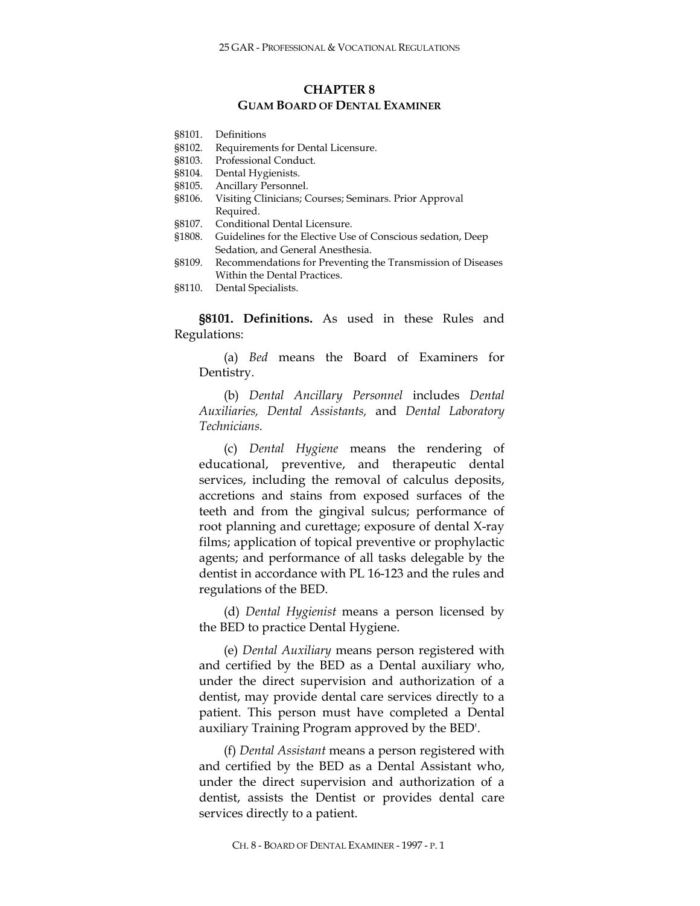# **CHAPTER 8 GUAM BOARD OF DENTAL EXAMINER**

- §8101. Definitions
- §8102. Requirements for Dental Licensure.
- §8103. Professional Conduct.
- §8104. Dental Hygienists.
- §8105. Ancillary Personnel.
- §8106. Visiting Clinicians; Courses; Seminars. Prior Approval Required.
- §8107. Conditional Dental Licensure.
- §1808. Guidelines for the Elective Use of Conscious sedation, Deep Sedation, and General Anesthesia.
- §8109. Recommendations for Preventing the Transmission of Diseases Within the Dental Practices.
- §8110. Dental Specialists.

**§8101. Definitions.** As used in these Rules and Regulations:

(a) *Bed* means the Board of Examiners for Dentistry.

(b) *Dental Ancillary Personnel* includes *Dental Auxiliaries, Dental Assistants,* and *Dental Laboratory Technicians.*

(c) *Dental Hygiene* means the rendering of educational, preventive, and therapeutic dental services, including the removal of calculus deposits, accretions and stains from exposed surfaces of the teeth and from the gingival sulcus; performance of root planning and curettage; exposure of dental X-ray films; application of topical preventive or prophylactic agents; and performance of all tasks delegable by the dentist in accordance with PL 16-123 and the rules and regulations of the BED.

(d) *Dental Hygienist* means a person licensed by the BED to practice Dental Hygiene.

(e) *Dental Auxiliary* means person registered with and certified by the BED as a Dental auxiliary who, under the direct supervision and authorization of a dentist, may provide dental care services directly to a patient. This person must have completed a Dental auxiliary Training Program approved by the BED'.

(f) *Dental Assistant* means a person registered with and certified by the BED as a Dental Assistant who, under the direct supervision and authorization of a dentist, assists the Dentist or provides dental care services directly to a patient.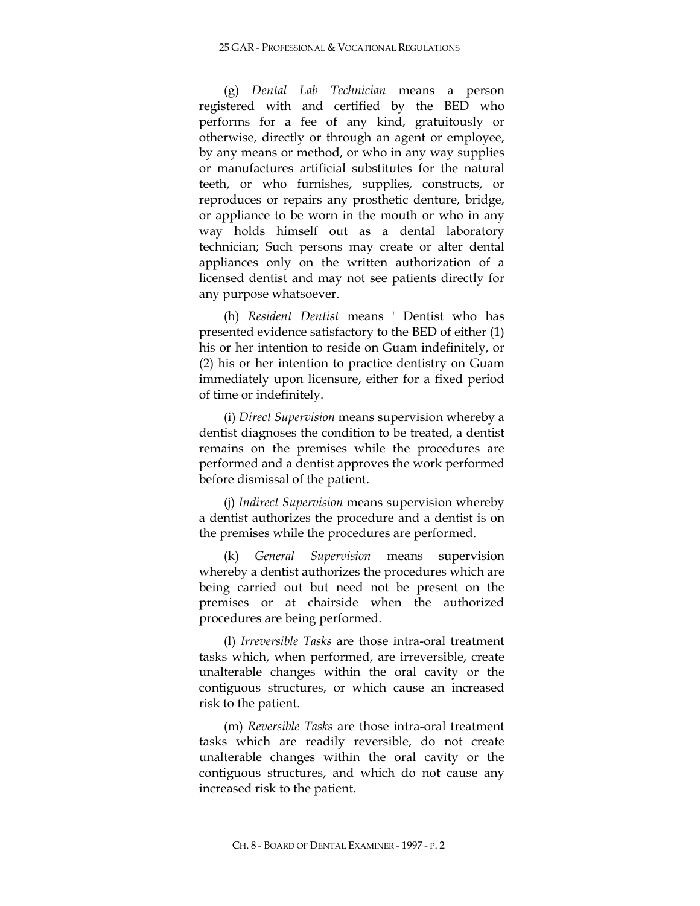(g) *Dental Lab Technician* means a person registered with and certified by the BED who performs for a fee of any kind, gratuitously or otherwise, directly or through an agent or employee, by any means or method, or who in any way supplies or manufactures artificial substitutes for the natural teeth, or who furnishes, supplies, constructs, or reproduces or repairs any prosthetic denture, bridge, or appliance to be worn in the mouth or who in any way holds himself out as a dental laboratory technician; Such persons may create or alter dental appliances only on the written authorization of a licensed dentist and may not see patients directly for any purpose whatsoever.

(h) *Resident Dentist* means ' Dentist who has presented evidence satisfactory to the BED of either (1) his or her intention to reside on Guam indefinitely, or (2) his or her intention to practice dentistry on Guam immediately upon licensure, either for a fixed period of time or indefinitely.

(i) *Direct Supervision* means supervision whereby a dentist diagnoses the condition to be treated, a dentist remains on the premises while the procedures are performed and a dentist approves the work performed before dismissal of the patient.

(j) *Indirect Supervision* means supervision whereby a dentist authorizes the procedure and a dentist is on the premises while the procedures are performed.

(k) *General Supervision* means supervision whereby a dentist authorizes the procedures which are being carried out but need not be present on the premises or at chairside when the authorized procedures are being performed.

(l) *Irreversible Tasks* are those intra-oral treatment tasks which, when performed, are irreversible, create unalterable changes within the oral cavity or the contiguous structures, or which cause an increased risk to the patient.

(m) *Reversible Tasks* are those intra-oral treatment tasks which are readily reversible, do not create unalterable changes within the oral cavity or the contiguous structures, and which do not cause any increased risk to the patient.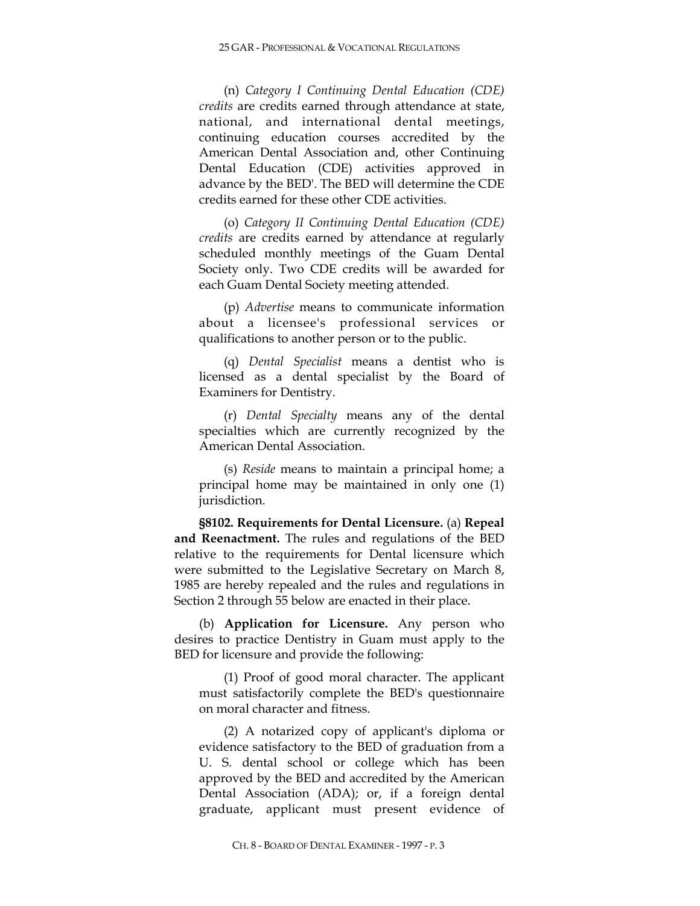(n) *Category I Continuing Dental Education (CDE) credits* are credits earned through attendance at state, national, and international dental meetings, continuing education courses accredited by the American Dental Association and, other Continuing Dental Education (CDE) activities approved in advance by the BED'. The BED will determine the CDE credits earned for these other CDE activities.

(o) *Category II Continuing Dental Education (CDE) credits* are credits earned by attendance at regularly scheduled monthly meetings of the Guam Dental Society only. Two CDE credits will be awarded for each Guam Dental Society meeting attended.

(p) *Advertise* means to communicate information about a licensee's professional services or qualifications to another person or to the public.

(q) *Dental Specialist* means a dentist who is licensed as a dental specialist by the Board of Examiners for Dentistry.

(r) *Dental Specialty* means any of the dental specialties which are currently recognized by the American Dental Association.

(s) *Reside* means to maintain a principal home; a principal home may be maintained in only one (1) jurisdiction.

**§8102. Requirements for Dental Licensure.** (a) **Repeal and Reenactment.** The rules and regulations of the BED relative to the requirements for Dental licensure which were submitted to the Legislative Secretary on March 8, 1985 are hereby repealed and the rules and regulations in Section 2 through 55 below are enacted in their place.

(b) **Application for Licensure.** Any person who desires to practice Dentistry in Guam must apply to the BED for licensure and provide the following:

(1) Proof of good moral character. The applicant must satisfactorily complete the BED's questionnaire on moral character and fitness.

(2) A notarized copy of applicant's diploma or evidence satisfactory to the BED of graduation from a U. S. dental school or college which has been approved by the BED and accredited by the American Dental Association (ADA); or, if a foreign dental graduate, applicant must present evidence of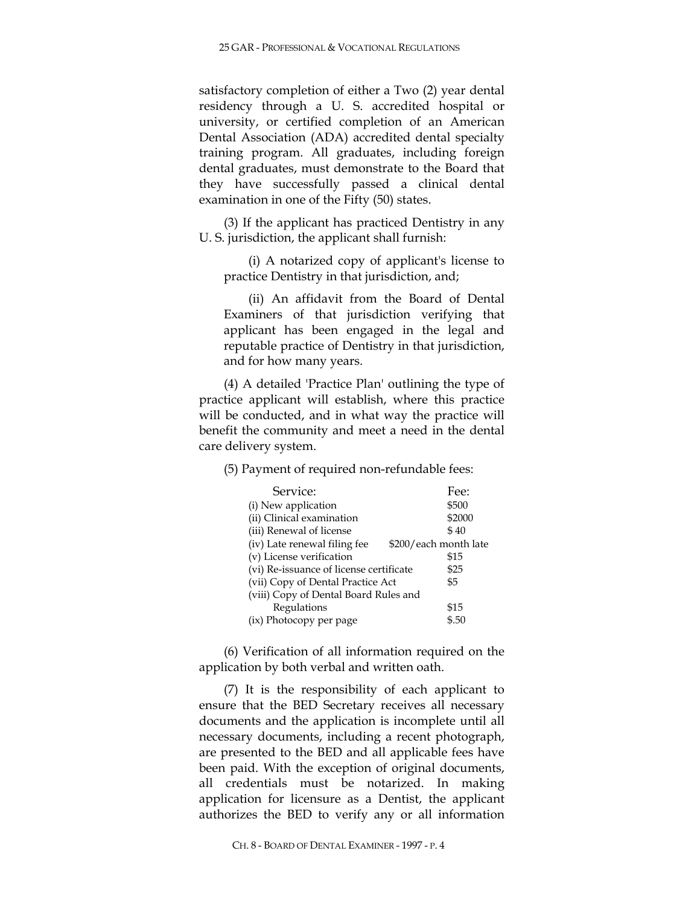satisfactory completion of either a Two (2) year dental residency through a U. S. accredited hospital or university, or certified completion of an American Dental Association (ADA) accredited dental specialty training program. All graduates, including foreign dental graduates, must demonstrate to the Board that they have successfully passed a clinical dental examination in one of the Fifty (50) states.

(3) If the applicant has practiced Dentistry in any U. S. jurisdiction, the applicant shall furnish:

(i) A notarized copy of applicant's license to practice Dentistry in that jurisdiction, and;

(ii) An affidavit from the Board of Dental Examiners of that jurisdiction verifying that applicant has been engaged in the legal and reputable practice of Dentistry in that jurisdiction, and for how many years.

(4) A detailed 'Practice Plan' outlining the type of practice applicant will establish, where this practice will be conducted, and in what way the practice will benefit the community and meet a need in the dental care delivery system.

(5) Payment of required non-refundable fees:

| Service:                                              | Fee:   |  |  |
|-------------------------------------------------------|--------|--|--|
| (i) New application                                   | \$500  |  |  |
| (ii) Clinical examination                             | \$2000 |  |  |
| (iii) Renewal of license                              | \$40   |  |  |
| (iv) Late renewal filing fee<br>\$200/each month late |        |  |  |
| (v) License verification                              | \$15   |  |  |
| (vi) Re-issuance of license certificate               | \$25   |  |  |
| (vii) Copy of Dental Practice Act                     | \$5    |  |  |
| (viii) Copy of Dental Board Rules and                 |        |  |  |
| Regulations                                           | \$15   |  |  |
| (ix) Photocopy per page                               | \$.50  |  |  |

(6) Verification of all information required on the application by both verbal and written oath.

(7) It is the responsibility of each applicant to ensure that the BED Secretary receives all necessary documents and the application is incomplete until all necessary documents, including a recent photograph, are presented to the BED and all applicable fees have been paid. With the exception of original documents, all credentials must be notarized. In making application for licensure as a Dentist, the applicant authorizes the BED to verify any or all information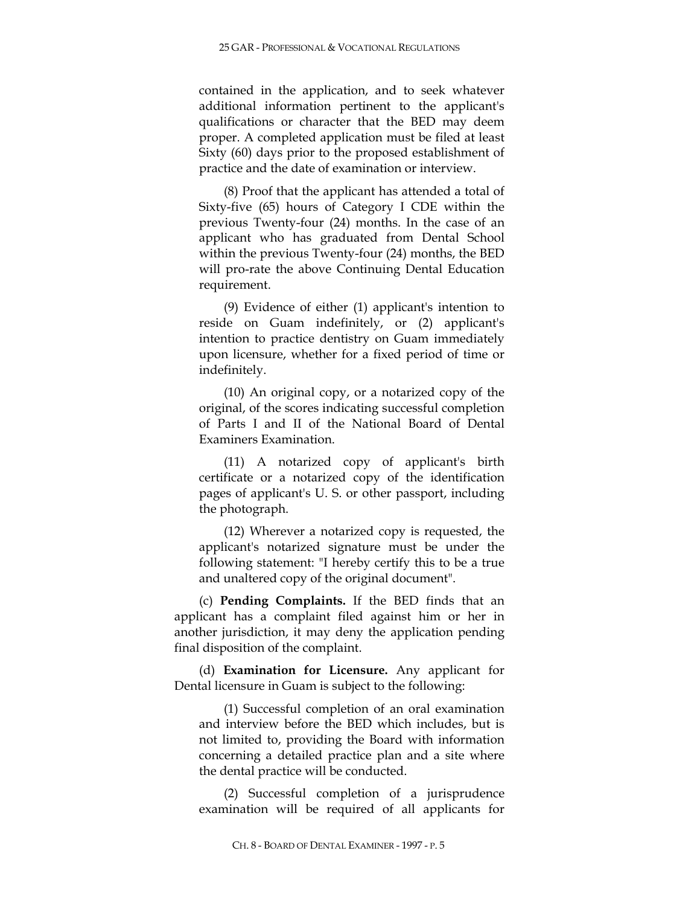contained in the application, and to seek whatever additional information pertinent to the applicant's qualifications or character that the BED may deem proper. A completed application must be filed at least Sixty (60) days prior to the proposed establishment of practice and the date of examination or interview.

(8) Proof that the applicant has attended a total of Sixty-five (65) hours of Category I CDE within the previous Twenty-four (24) months. In the case of an applicant who has graduated from Dental School within the previous Twenty-four (24) months, the BED will pro-rate the above Continuing Dental Education requirement.

(9) Evidence of either (1) applicant's intention to reside on Guam indefinitely, or (2) applicant's intention to practice dentistry on Guam immediately upon licensure, whether for a fixed period of time or indefinitely.

(10) An original copy, or a notarized copy of the original, of the scores indicating successful completion of Parts I and II of the National Board of Dental Examiners Examination.

(11) A notarized copy of applicant's birth certificate or a notarized copy of the identification pages of applicant's U. S. or other passport, including the photograph.

(12) Wherever a notarized copy is requested, the applicant's notarized signature must be under the following statement: "I hereby certify this to be a true and unaltered copy of the original document".

(c) **Pending Complaints.** If the BED finds that an applicant has a complaint filed against him or her in another jurisdiction, it may deny the application pending final disposition of the complaint.

(d) **Examination for Licensure.** Any applicant for Dental licensure in Guam is subject to the following:

(1) Successful completion of an oral examination and interview before the BED which includes, but is not limited to, providing the Board with information concerning a detailed practice plan and a site where the dental practice will be conducted.

(2) Successful completion of a jurisprudence examination will be required of all applicants for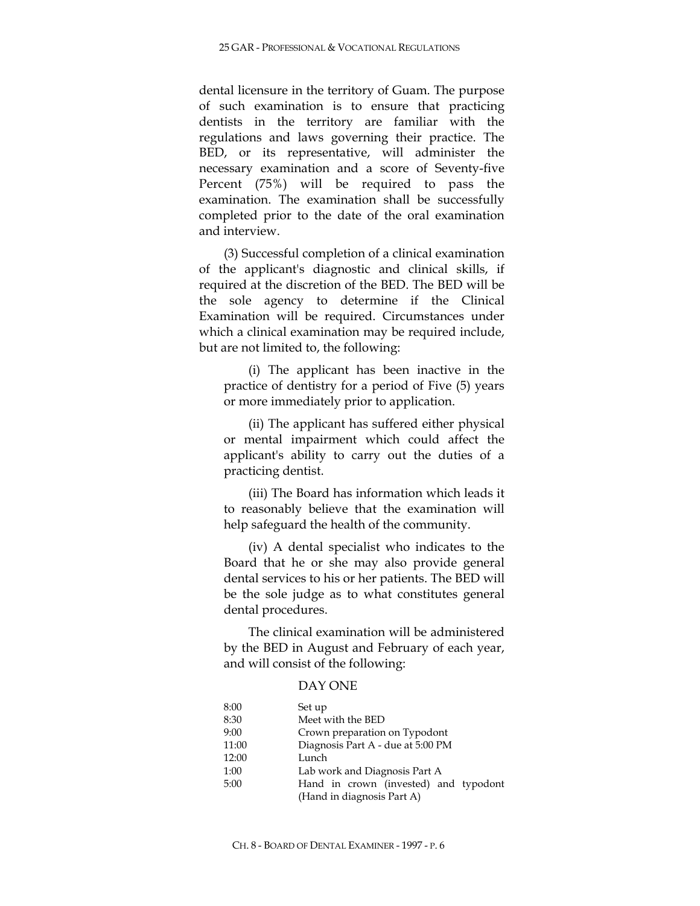dental licensure in the territory of Guam. The purpose of such examination is to ensure that practicing dentists in the territory are familiar with the regulations and laws governing their practice. The BED, or its representative, will administer the necessary examination and a score of Seventy-five Percent (75%) will be required to pass the examination. The examination shall be successfully completed prior to the date of the oral examination and interview.

(3) Successful completion of a clinical examination of the applicant's diagnostic and clinical skills, if required at the discretion of the BED. The BED will be the sole agency to determine if the Clinical Examination will be required. Circumstances under which a clinical examination may be required include, but are not limited to, the following:

(i) The applicant has been inactive in the practice of dentistry for a period of Five (5) years or more immediately prior to application.

(ii) The applicant has suffered either physical or mental impairment which could affect the applicant's ability to carry out the duties of a practicing dentist.

(iii) The Board has information which leads it to reasonably believe that the examination will help safeguard the health of the community.

(iv) A dental specialist who indicates to the Board that he or she may also provide general dental services to his or her patients. The BED will be the sole judge as to what constitutes general dental procedures.

The clinical examination will be administered by the BED in August and February of each year, and will consist of the following:

# DAY ONE

| 8:00  | Set up                                |  |
|-------|---------------------------------------|--|
| 8:30  | Meet with the BED                     |  |
| 9:00  | Crown preparation on Typodont         |  |
| 11:00 | Diagnosis Part A - due at 5:00 PM     |  |
| 12:00 | Lunch                                 |  |
| 1:00  | Lab work and Diagnosis Part A         |  |
| 5:00  | Hand in crown (invested) and typodont |  |
|       | (Hand in diagnosis Part A)            |  |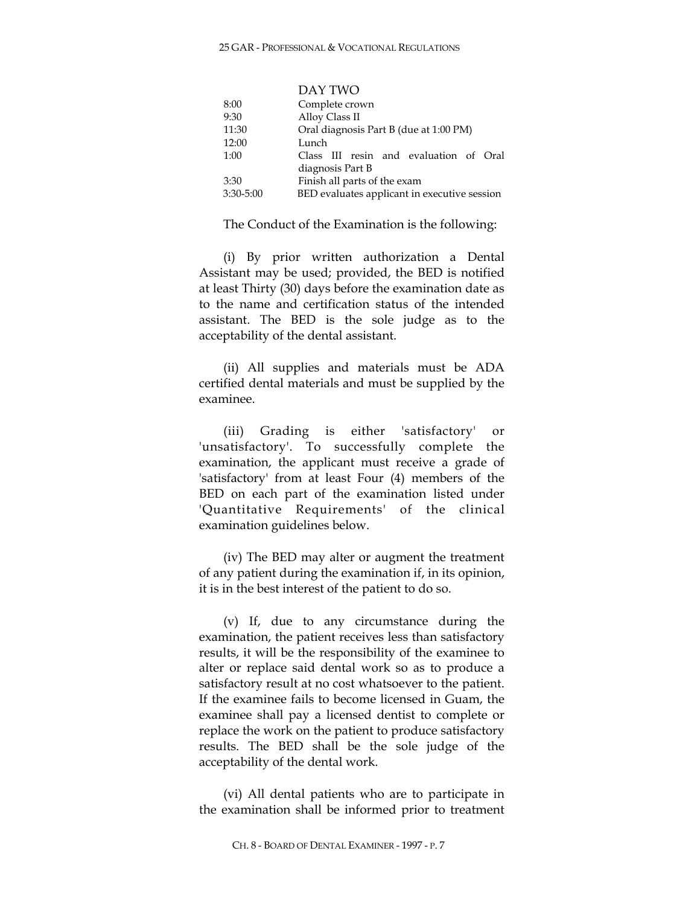DAY TWO

| 8:00  |               | Complete crown                               |  |
|-------|---------------|----------------------------------------------|--|
| 9:30  |               | Alloy Class II                               |  |
| 11:30 |               | Oral diagnosis Part B (due at 1:00 PM)       |  |
| 12:00 |               | Lunch                                        |  |
| 1:00  |               | Class III resin and evaluation of Oral       |  |
|       |               | diagnosis Part B                             |  |
| 3:30  |               | Finish all parts of the exam                 |  |
|       | $3:30 - 5:00$ | BED evaluates applicant in executive session |  |
|       |               |                                              |  |

The Conduct of the Examination is the following:

(i) By prior written authorization a Dental Assistant may be used; provided, the BED is notified at least Thirty (30) days before the examination date as to the name and certification status of the intended assistant. The BED is the sole judge as to the acceptability of the dental assistant.

(ii) All supplies and materials must be ADA certified dental materials and must be supplied by the examinee.

(iii) Grading is either 'satisfactory' or 'unsatisfactory'. To successfully complete the examination, the applicant must receive a grade of 'satisfactory' from at least Four (4) members of the BED on each part of the examination listed under 'Quantitative Requirements' of the clinical examination guidelines below.

(iv) The BED may alter or augment the treatment of any patient during the examination if, in its opinion, it is in the best interest of the patient to do so.

(v) If, due to any circumstance during the examination, the patient receives less than satisfactory results, it will be the responsibility of the examinee to alter or replace said dental work so as to produce a satisfactory result at no cost whatsoever to the patient. If the examinee fails to become licensed in Guam, the examinee shall pay a licensed dentist to complete or replace the work on the patient to produce satisfactory results. The BED shall be the sole judge of the acceptability of the dental work.

(vi) All dental patients who are to participate in the examination shall be informed prior to treatment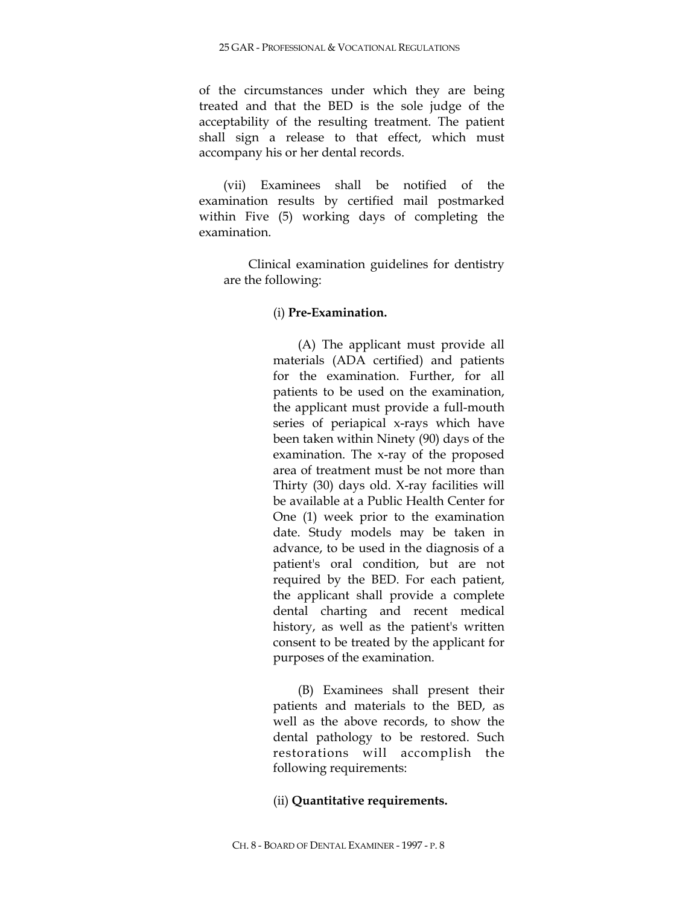of the circumstances under which they are being treated and that the BED is the sole judge of the acceptability of the resulting treatment. The patient shall sign a release to that effect, which must accompany his or her dental records.

(vii) Examinees shall be notified of the examination results by certified mail postmarked within Five (5) working days of completing the examination.

Clinical examination guidelines for dentistry are the following:

## (i) **Pre-Examination.**

(A) The applicant must provide all materials (ADA certified) and patients for the examination. Further, for all patients to be used on the examination, the applicant must provide a full-mouth series of periapical x-rays which have been taken within Ninety (90) days of the examination. The x-ray of the proposed area of treatment must be not more than Thirty (30) days old. X-ray facilities will be available at a Public Health Center for One (1) week prior to the examination date. Study models may be taken in advance, to be used in the diagnosis of a patient's oral condition, but are not required by the BED. For each patient, the applicant shall provide a complete dental charting and recent medical history, as well as the patient's written consent to be treated by the applicant for purposes of the examination.

(B) Examinees shall present their patients and materials to the BED, as well as the above records, to show the dental pathology to be restored. Such restorations will accomplish the following requirements:

### (ii) **Quantitative requirements.**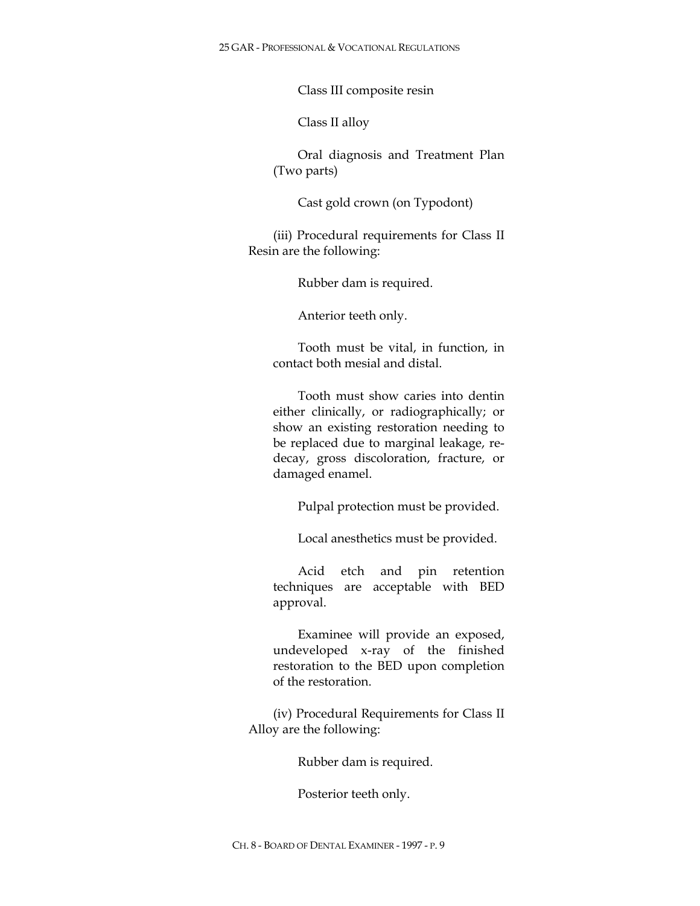25 GAR - PROFESSIONAL & VOCATIONAL REGULATIONS

Class III composite resin

Class II alloy

Oral diagnosis and Treatment Plan (Two parts)

Cast gold crown (on Typodont)

(iii) Procedural requirements for Class II Resin are the following:

Rubber dam is required.

Anterior teeth only.

Tooth must be vital, in function, in contact both mesial and distal.

Tooth must show caries into dentin either clinically, or radiographically; or show an existing restoration needing to be replaced due to marginal leakage, redecay, gross discoloration, fracture, or damaged enamel.

Pulpal protection must be provided.

Local anesthetics must be provided.

Acid etch and pin retention techniques are acceptable with BED approval.

Examinee will provide an exposed, undeveloped x-ray of the finished restoration to the BED upon completion of the restoration.

(iv) Procedural Requirements for Class II Alloy are the following:

Rubber dam is required.

Posterior teeth only.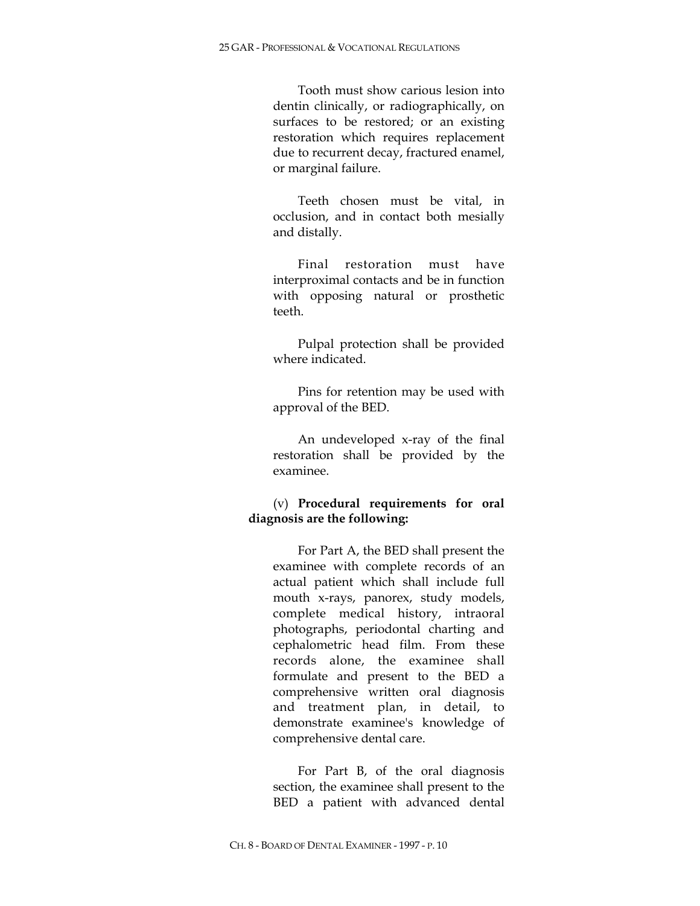Tooth must show carious lesion into dentin clinically, or radiographically, on surfaces to be restored; or an existing restoration which requires replacement due to recurrent decay, fractured enamel, or marginal failure.

Teeth chosen must be vital, in occlusion, and in contact both mesially and distally.

Final restoration must have interproximal contacts and be in function with opposing natural or prosthetic teeth.

Pulpal protection shall be provided where indicated.

Pins for retention may be used with approval of the BED.

An undeveloped x-ray of the final restoration shall be provided by the examinee.

# (v) **Procedural requirements for oral diagnosis are the following:**

For Part A, the BED shall present the examinee with complete records of an actual patient which shall include full mouth x-rays, panorex, study models, complete medical history, intraoral photographs, periodontal charting and cephalometric head film. From these records alone, the examinee shall formulate and present to the BED a comprehensive written oral diagnosis and treatment plan, in detail, to demonstrate examinee's knowledge of comprehensive dental care.

For Part B, of the oral diagnosis section, the examinee shall present to the BED a patient with advanced dental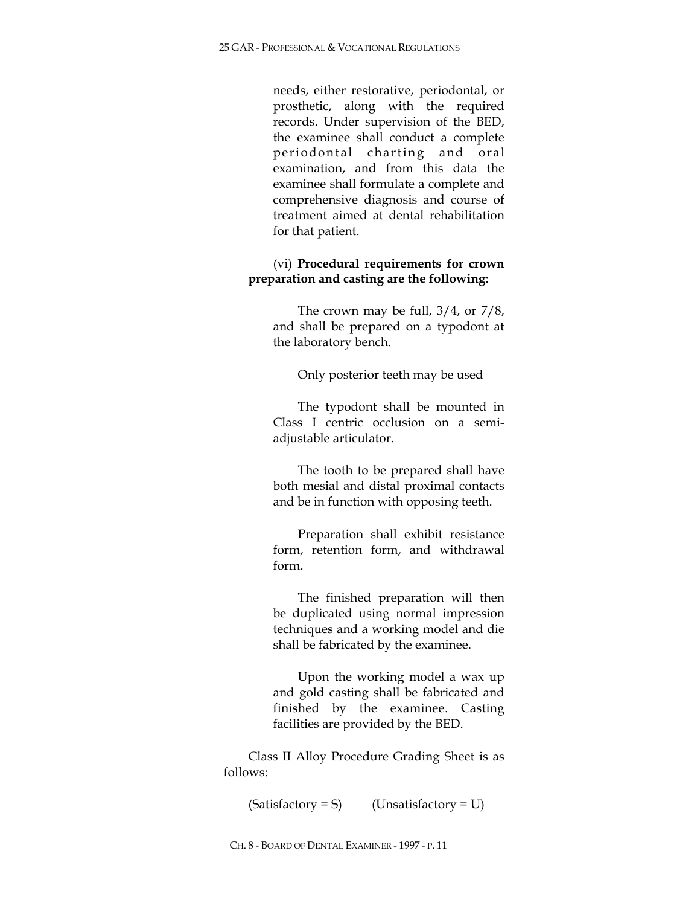needs, either restorative, periodontal, or prosthetic, along with the required records. Under supervision of the BED, the examinee shall conduct a complete periodontal charting and oral examination, and from this data the examinee shall formulate a complete and comprehensive diagnosis and course of treatment aimed at dental rehabilitation for that patient.

# (vi) **Procedural requirements for crown preparation and casting are the following:**

The crown may be full, 3/4, or 7/8, and shall be prepared on a typodont at the laboratory bench.

Only posterior teeth may be used

The typodont shall be mounted in Class I centric occlusion on a semiadjustable articulator.

The tooth to be prepared shall have both mesial and distal proximal contacts and be in function with opposing teeth.

Preparation shall exhibit resistance form, retention form, and withdrawal form.

The finished preparation will then be duplicated using normal impression techniques and a working model and die shall be fabricated by the examinee.

Upon the working model a wax up and gold casting shall be fabricated and finished by the examinee. Casting facilities are provided by the BED.

Class II Alloy Procedure Grading Sheet is as follows:

 $(Satisfactory = S)$  (Unsatisfactory = U)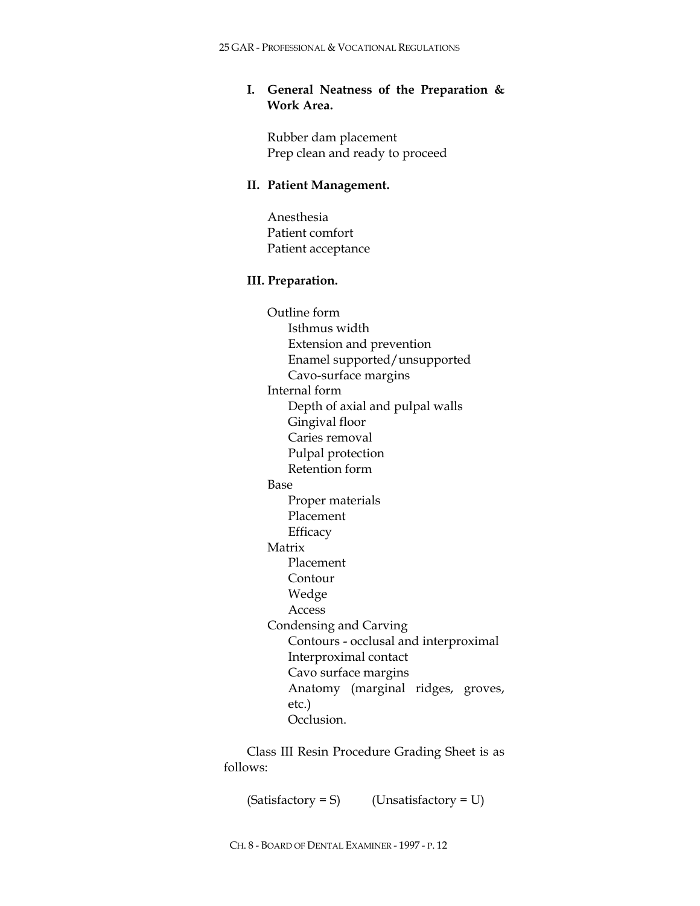# **I. General Neatness of the Preparation & Work Area.**

Rubber dam placement Prep clean and ready to proceed

### **II. Patient Management.**

Anesthesia Patient comfort Patient acceptance

### **III. Preparation.**

Outline form Isthmus width Extension and prevention Enamel supported/unsupported Cavo-surface margins Internal form Depth of axial and pulpal walls Gingival floor Caries removal Pulpal protection Retention form Base Proper materials Placement **Efficacy** Matrix Placement Contour Wedge Access Condensing and Carving Contours - occlusal and interproximal Interproximal contact Cavo surface margins Anatomy (marginal ridges, groves, etc.) Occlusion.

Class III Resin Procedure Grading Sheet is as follows:

 $(Satisfactory = S)$  (Unsatisfactory = U)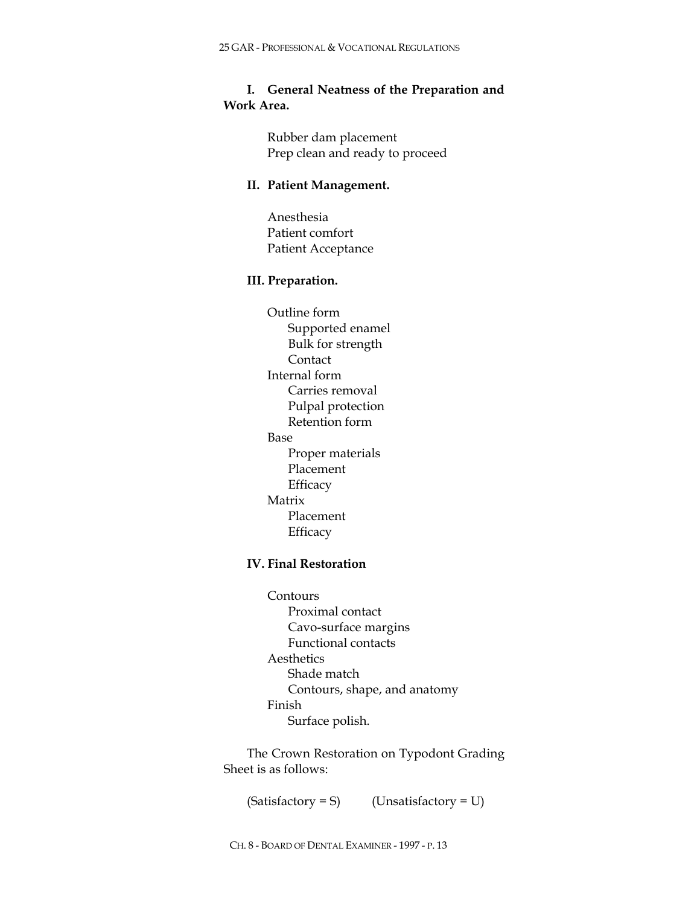# **I. General Neatness of the Preparation and Work Area.**

Rubber dam placement Prep clean and ready to proceed

## **II. Patient Management.**

Anesthesia Patient comfort Patient Acceptance

### **III. Preparation.**

Outline form Supported enamel Bulk for strength Contact Internal form Carries removal Pulpal protection Retention form Base Proper materials Placement **Efficacy** Matrix Placement **Efficacy** 

# **IV. Final Restoration**

Contours Proximal contact Cavo-surface margins Functional contacts Aesthetics Shade match Contours, shape, and anatomy Finish Surface polish.

The Crown Restoration on Typodont Grading Sheet is as follows:

 $(Satisfactory = S)$  (Unsatisfactory = U)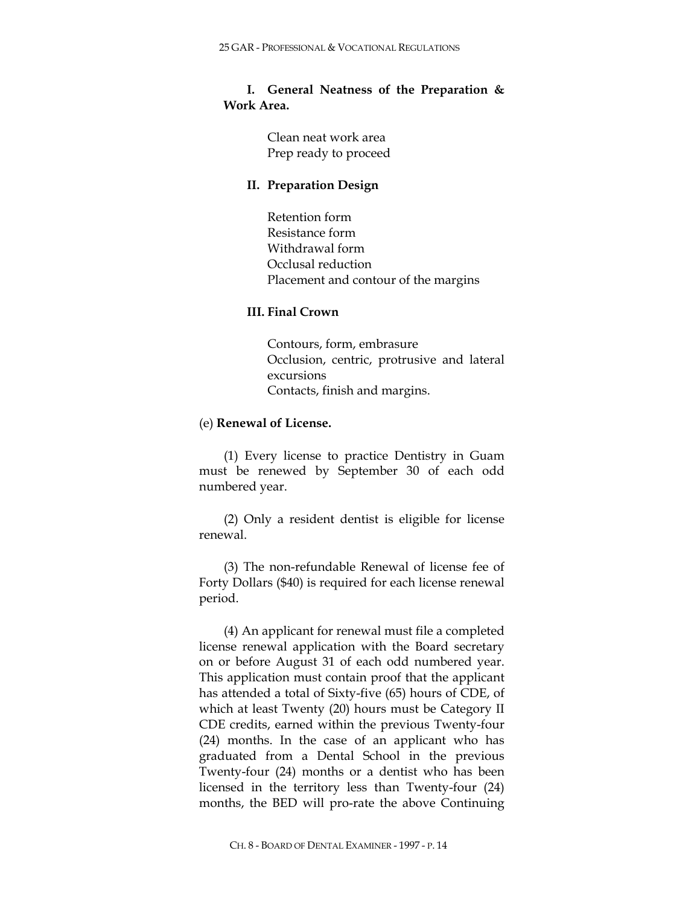# **I. General Neatness of the Preparation & Work Area.**

Clean neat work area Prep ready to proceed

## **II. Preparation Design**

Retention form Resistance form Withdrawal form Occlusal reduction Placement and contour of the margins

# **III. Final Crown**

Contours, form, embrasure Occlusion, centric, protrusive and lateral excursions Contacts, finish and margins.

# (e) **Renewal of License.**

(1) Every license to practice Dentistry in Guam must be renewed by September 30 of each odd numbered year.

(2) Only a resident dentist is eligible for license renewal.

(3) The non-refundable Renewal of license fee of Forty Dollars (\$40) is required for each license renewal period.

(4) An applicant for renewal must file a completed license renewal application with the Board secretary on or before August 31 of each odd numbered year. This application must contain proof that the applicant has attended a total of Sixty-five (65) hours of CDE, of which at least Twenty (20) hours must be Category II CDE credits, earned within the previous Twenty-four (24) months. In the case of an applicant who has graduated from a Dental School in the previous Twenty-four (24) months or a dentist who has been licensed in the territory less than Twenty-four (24) months, the BED will pro-rate the above Continuing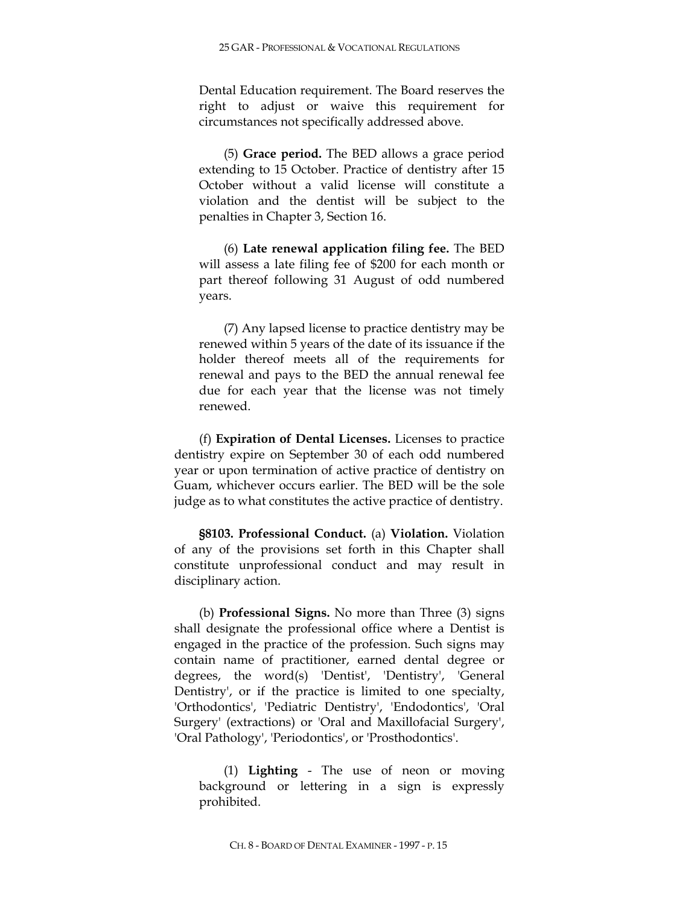Dental Education requirement. The Board reserves the right to adjust or waive this requirement for circumstances not specifically addressed above.

(5) **Grace period.** The BED allows a grace period extending to 15 October. Practice of dentistry after 15 October without a valid license will constitute a violation and the dentist will be subject to the penalties in Chapter 3, Section 16.

(6) **Late renewal application filing fee.** The BED will assess a late filing fee of \$200 for each month or part thereof following 31 August of odd numbered years.

(7) Any lapsed license to practice dentistry may be renewed within 5 years of the date of its issuance if the holder thereof meets all of the requirements for renewal and pays to the BED the annual renewal fee due for each year that the license was not timely renewed.

(f) **Expiration of Dental Licenses.** Licenses to practice dentistry expire on September 30 of each odd numbered year or upon termination of active practice of dentistry on Guam, whichever occurs earlier. The BED will be the sole judge as to what constitutes the active practice of dentistry.

**§8103. Professional Conduct.** (a) **Violation.** Violation of any of the provisions set forth in this Chapter shall constitute unprofessional conduct and may result in disciplinary action.

(b) **Professional Signs.** No more than Three (3) signs shall designate the professional office where a Dentist is engaged in the practice of the profession. Such signs may contain name of practitioner, earned dental degree or degrees, the word(s) 'Dentist', 'Dentistry', 'General Dentistry', or if the practice is limited to one specialty, 'Orthodontics', 'Pediatric Dentistry', 'Endodontics', 'Oral Surgery' (extractions) or 'Oral and Maxillofacial Surgery', 'Oral Pathology', 'Periodontics', or 'Prosthodontics'.

(1) **Lighting** - The use of neon or moving background or lettering in a sign is expressly prohibited.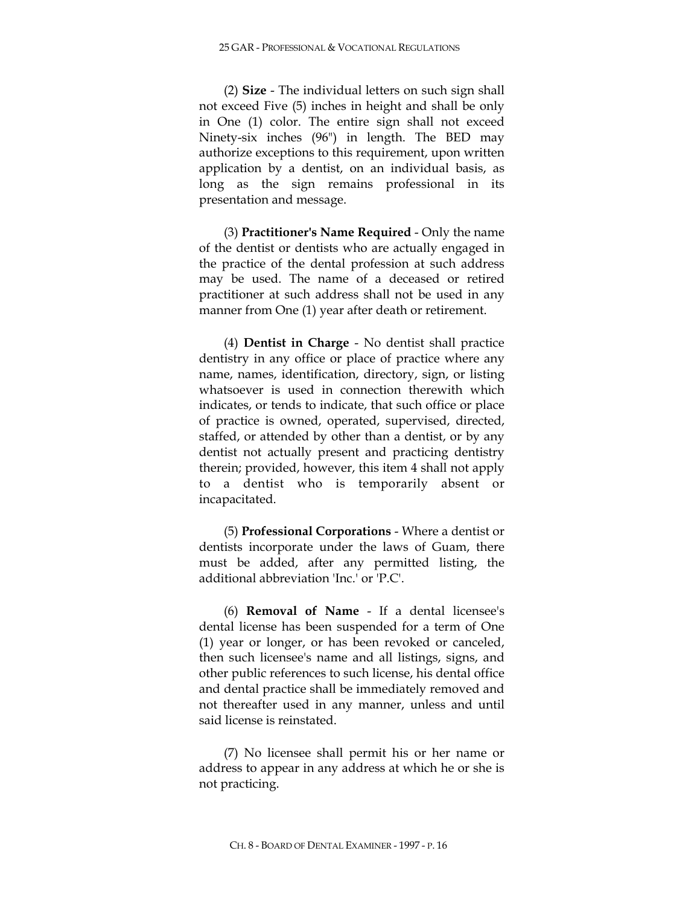(2) **Size** - The individual letters on such sign shall not exceed Five (5) inches in height and shall be only in One (1) color. The entire sign shall not exceed Ninety-six inches (96") in length. The BED may authorize exceptions to this requirement, upon written application by a dentist, on an individual basis, as long as the sign remains professional in its presentation and message.

(3) **Practitioner's Name Required** - Only the name of the dentist or dentists who are actually engaged in the practice of the dental profession at such address may be used. The name of a deceased or retired practitioner at such address shall not be used in any manner from One (1) year after death or retirement.

(4) **Dentist in Charge** - No dentist shall practice dentistry in any office or place of practice where any name, names, identification, directory, sign, or listing whatsoever is used in connection therewith which indicates, or tends to indicate, that such office or place of practice is owned, operated, supervised, directed, staffed, or attended by other than a dentist, or by any dentist not actually present and practicing dentistry therein; provided, however, this item 4 shall not apply to a dentist who is temporarily absent or incapacitated.

(5) **Professional Corporations** - Where a dentist or dentists incorporate under the laws of Guam, there must be added, after any permitted listing, the additional abbreviation 'Inc.' or 'P.C'.

(6) **Removal of Name** - If a dental licensee's dental license has been suspended for a term of One (1) year or longer, or has been revoked or canceled, then such licensee's name and all listings, signs, and other public references to such license, his dental office and dental practice shall be immediately removed and not thereafter used in any manner, unless and until said license is reinstated.

(7) No licensee shall permit his or her name or address to appear in any address at which he or she is not practicing.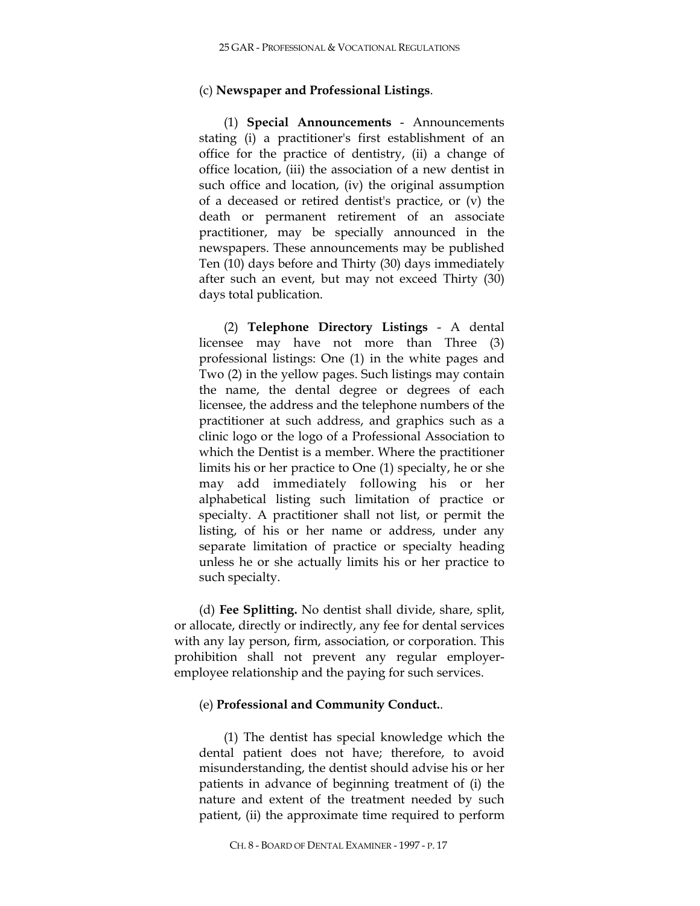## (c) **Newspaper and Professional Listings**.

(1) **Special Announcements** - Announcements stating (i) a practitioner's first establishment of an office for the practice of dentistry, (ii) a change of office location, (iii) the association of a new dentist in such office and location, (iv) the original assumption of a deceased or retired dentist's practice, or (v) the death or permanent retirement of an associate practitioner, may be specially announced in the newspapers. These announcements may be published Ten (10) days before and Thirty (30) days immediately after such an event, but may not exceed Thirty (30) days total publication.

(2) **Telephone Directory Listings** - A dental licensee may have not more than Three (3) professional listings: One (1) in the white pages and Two (2) in the yellow pages. Such listings may contain the name, the dental degree or degrees of each licensee, the address and the telephone numbers of the practitioner at such address, and graphics such as a clinic logo or the logo of a Professional Association to which the Dentist is a member. Where the practitioner limits his or her practice to One (1) specialty, he or she may add immediately following his or her alphabetical listing such limitation of practice or specialty. A practitioner shall not list, or permit the listing, of his or her name or address, under any separate limitation of practice or specialty heading unless he or she actually limits his or her practice to such specialty.

(d) **Fee Splitting.** No dentist shall divide, share, split, or allocate, directly or indirectly, any fee for dental services with any lay person, firm, association, or corporation. This prohibition shall not prevent any regular employeremployee relationship and the paying for such services.

## (e) **Professional and Community Conduct.**.

(1) The dentist has special knowledge which the dental patient does not have; therefore, to avoid misunderstanding, the dentist should advise his or her patients in advance of beginning treatment of (i) the nature and extent of the treatment needed by such patient, (ii) the approximate time required to perform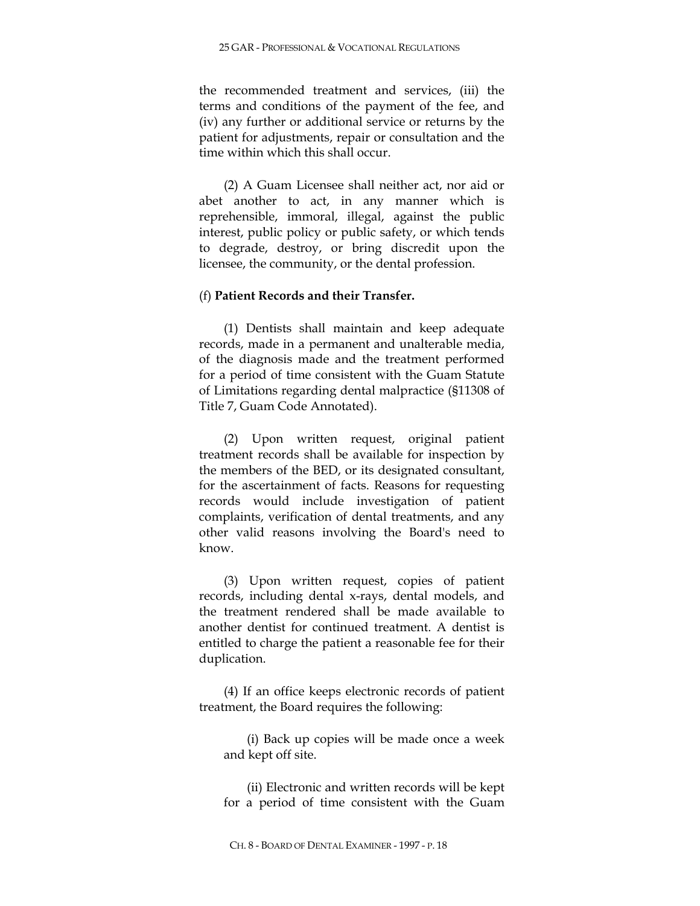the recommended treatment and services, (iii) the terms and conditions of the payment of the fee, and (iv) any further or additional service or returns by the patient for adjustments, repair or consultation and the time within which this shall occur.

(2) A Guam Licensee shall neither act, nor aid or abet another to act, in any manner which is reprehensible, immoral, illegal, against the public interest, public policy or public safety, or which tends to degrade, destroy, or bring discredit upon the licensee, the community, or the dental profession.

## (f) **Patient Records and their Transfer.**

(1) Dentists shall maintain and keep adequate records, made in a permanent and unalterable media, of the diagnosis made and the treatment performed for a period of time consistent with the Guam Statute of Limitations regarding dental malpractice (§11308 of Title 7, Guam Code Annotated).

(2) Upon written request, original patient treatment records shall be available for inspection by the members of the BED, or its designated consultant, for the ascertainment of facts. Reasons for requesting records would include investigation of patient complaints, verification of dental treatments, and any other valid reasons involving the Board's need to know.

(3) Upon written request, copies of patient records, including dental x-rays, dental models, and the treatment rendered shall be made available to another dentist for continued treatment. A dentist is entitled to charge the patient a reasonable fee for their duplication.

(4) If an office keeps electronic records of patient treatment, the Board requires the following:

(i) Back up copies will be made once a week and kept off site.

(ii) Electronic and written records will be kept for a period of time consistent with the Guam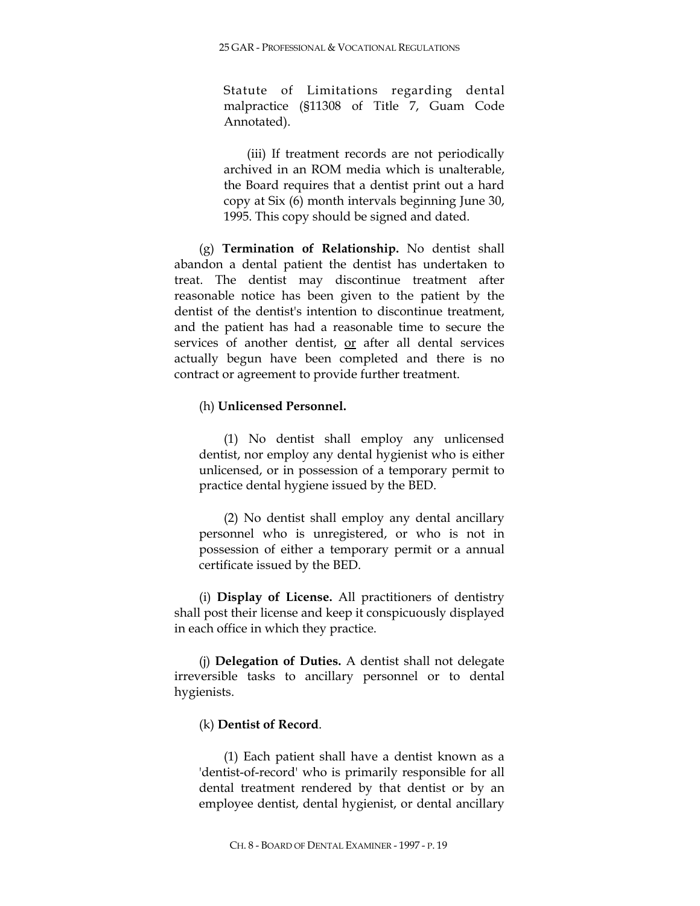Statute of Limitations regarding dental malpractice (§11308 of Title 7, Guam Code Annotated).

(iii) If treatment records are not periodically archived in an ROM media which is unalterable, the Board requires that a dentist print out a hard copy at Six (6) month intervals beginning June 30, 1995. This copy should be signed and dated.

(g) **Termination of Relationship.** No dentist shall abandon a dental patient the dentist has undertaken to treat. The dentist may discontinue treatment after reasonable notice has been given to the patient by the dentist of the dentist's intention to discontinue treatment, and the patient has had a reasonable time to secure the services of another dentist, or after all dental services actually begun have been completed and there is no contract or agreement to provide further treatment.

### (h) **Unlicensed Personnel.**

(1) No dentist shall employ any unlicensed dentist, nor employ any dental hygienist who is either unlicensed, or in possession of a temporary permit to practice dental hygiene issued by the BED.

(2) No dentist shall employ any dental ancillary personnel who is unregistered, or who is not in possession of either a temporary permit or a annual certificate issued by the BED.

(i) **Display of License.** All practitioners of dentistry shall post their license and keep it conspicuously displayed in each office in which they practice.

(j) **Delegation of Duties.** A dentist shall not delegate irreversible tasks to ancillary personnel or to dental hygienists.

# (k) **Dentist of Record**.

(1) Each patient shall have a dentist known as a 'dentist-of-record' who is primarily responsible for all dental treatment rendered by that dentist or by an employee dentist, dental hygienist, or dental ancillary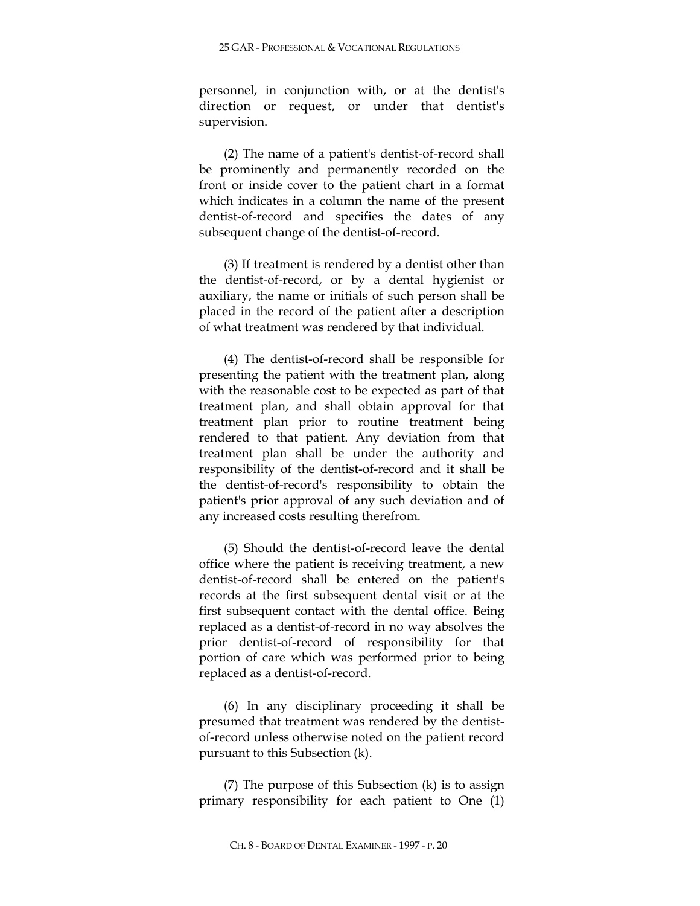personnel, in conjunction with, or at the dentist's direction or request, or under that dentist's supervision.

(2) The name of a patient's dentist-of-record shall be prominently and permanently recorded on the front or inside cover to the patient chart in a format which indicates in a column the name of the present dentist-of-record and specifies the dates of any subsequent change of the dentist-of-record.

(3) If treatment is rendered by a dentist other than the dentist-of-record, or by a dental hygienist or auxiliary, the name or initials of such person shall be placed in the record of the patient after a description of what treatment was rendered by that individual.

(4) The dentist-of-record shall be responsible for presenting the patient with the treatment plan, along with the reasonable cost to be expected as part of that treatment plan, and shall obtain approval for that treatment plan prior to routine treatment being rendered to that patient. Any deviation from that treatment plan shall be under the authority and responsibility of the dentist-of-record and it shall be the dentist-of-record's responsibility to obtain the patient's prior approval of any such deviation and of any increased costs resulting therefrom.

(5) Should the dentist-of-record leave the dental office where the patient is receiving treatment, a new dentist-of-record shall be entered on the patient's records at the first subsequent dental visit or at the first subsequent contact with the dental office. Being replaced as a dentist-of-record in no way absolves the prior dentist-of-record of responsibility for that portion of care which was performed prior to being replaced as a dentist-of-record.

(6) In any disciplinary proceeding it shall be presumed that treatment was rendered by the dentistof-record unless otherwise noted on the patient record pursuant to this Subsection (k).

(7) The purpose of this Subsection (k) is to assign primary responsibility for each patient to One (1)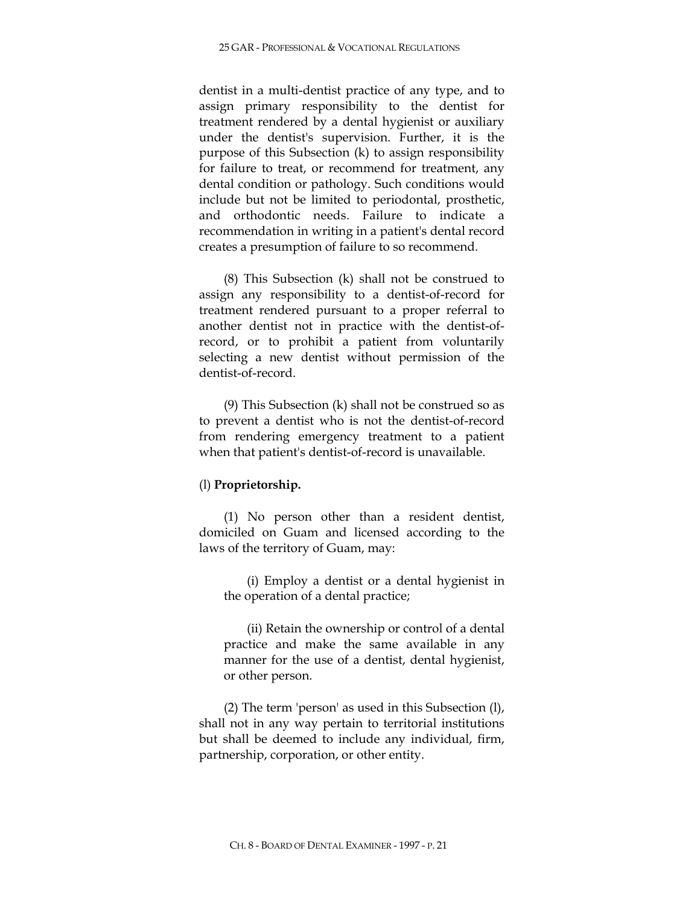dentist in a multi-dentist practice of any type, and to assign primary responsibility to the dentist for treatment rendered by a dental hygienist or auxiliary under the dentist's supervision. Further, it is the purpose of this Subsection (k) to assign responsibility for failure to treat, or recommend for treatment, any dental condition or pathology. Such conditions would include but not be limited to periodontal, prosthetic, and orthodontic needs. Failure to indicate a recommendation in writing in a patient's dental record creates a presumption of failure to so recommend.

(8) This Subsection (k) shall not be construed to assign any responsibility to a dentist-of-record for treatment rendered pursuant to a proper referral to another dentist not in practice with the dentist-ofrecord, or to prohibit a patient from voluntarily selecting a new dentist without permission of the dentist-of-record.

(9) This Subsection (k) shall not be construed so as to prevent a dentist who is not the dentist-of-record from rendering emergency treatment to a patient when that patient's dentist-of-record is unavailable.

# (l) **Proprietorship.**

(1) No person other than a resident dentist, domiciled on Guam and licensed according to the laws of the territory of Guam, may:

(i) Employ a dentist or a dental hygienist in the operation of a dental practice;

(ii) Retain the ownership or control of a dental practice and make the same available in any manner for the use of a dentist, dental hygienist, or other person.

(2) The term 'person' as used in this Subsection (l), shall not in any way pertain to territorial institutions but shall be deemed to include any individual, firm, partnership, corporation, or other entity.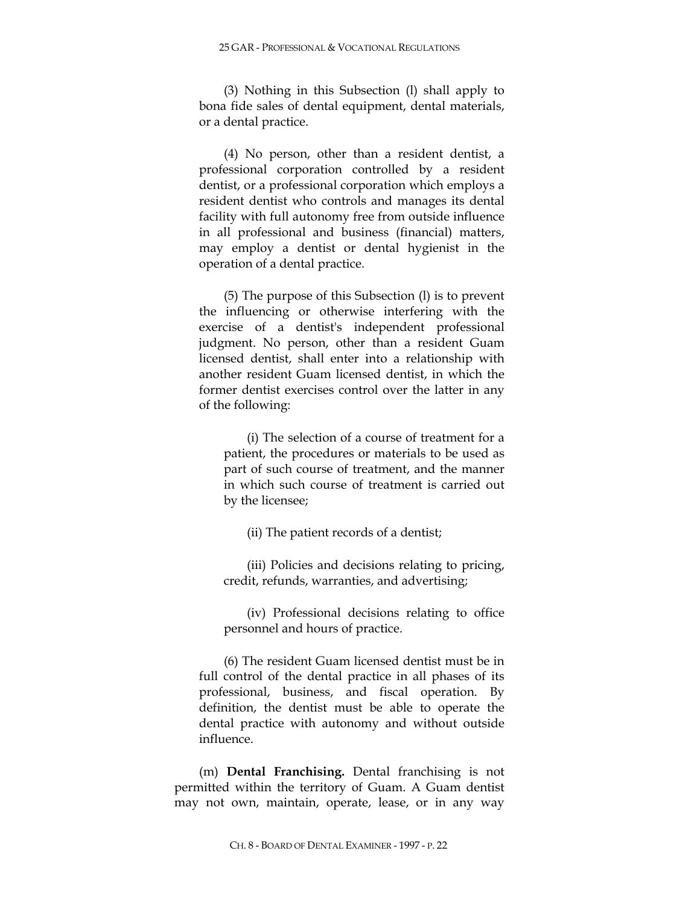(3) Nothing in this Subsection (l) shall apply to bona fide sales of dental equipment, dental materials, or a dental practice.

(4) No person, other than a resident dentist, a professional corporation controlled by a resident dentist, or a professional corporation which employs a resident dentist who controls and manages its dental facility with full autonomy free from outside influence in all professional and business (financial) matters, may employ a dentist or dental hygienist in the operation of a dental practice.

(5) The purpose of this Subsection (l) is to prevent the influencing or otherwise interfering with the exercise of a dentist's independent professional judgment. No person, other than a resident Guam licensed dentist, shall enter into a relationship with another resident Guam licensed dentist, in which the former dentist exercises control over the latter in any of the following:

(i) The selection of a course of treatment for a patient, the procedures or materials to be used as part of such course of treatment, and the manner in which such course of treatment is carried out by the licensee;

(ii) The patient records of a dentist;

(iii) Policies and decisions relating to pricing, credit, refunds, warranties, and advertising;

(iv) Professional decisions relating to office personnel and hours of practice.

(6) The resident Guam licensed dentist must be in full control of the dental practice in all phases of its professional, business, and fiscal operation. By definition, the dentist must be able to operate the dental practice with autonomy and without outside influence.

(m) **Dental Franchising.** Dental franchising is not permitted within the territory of Guam. A Guam dentist may not own, maintain, operate, lease, or in any way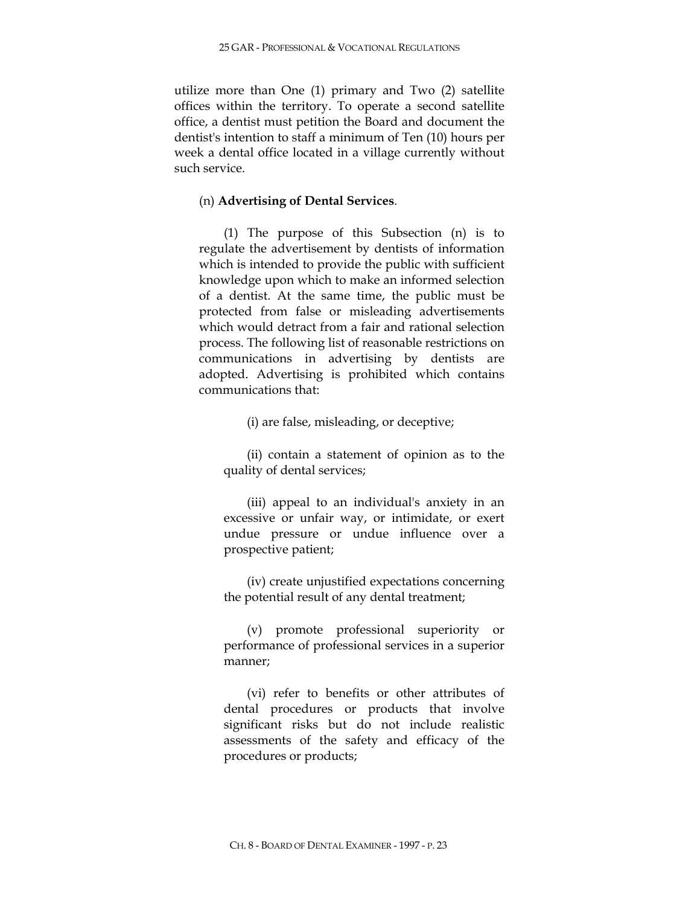utilize more than One (1) primary and Two (2) satellite offices within the territory. To operate a second satellite office, a dentist must petition the Board and document the dentist's intention to staff a minimum of Ten (10) hours per week a dental office located in a village currently without such service.

# (n) **Advertising of Dental Services**.

(1) The purpose of this Subsection (n) is to regulate the advertisement by dentists of information which is intended to provide the public with sufficient knowledge upon which to make an informed selection of a dentist. At the same time, the public must be protected from false or misleading advertisements which would detract from a fair and rational selection process. The following list of reasonable restrictions on communications in advertising by dentists are adopted. Advertising is prohibited which contains communications that:

(i) are false, misleading, or deceptive;

(ii) contain a statement of opinion as to the quality of dental services;

(iii) appeal to an individual's anxiety in an excessive or unfair way, or intimidate, or exert undue pressure or undue influence over a prospective patient;

(iv) create unjustified expectations concerning the potential result of any dental treatment;

(v) promote professional superiority or performance of professional services in a superior manner;

(vi) refer to benefits or other attributes of dental procedures or products that involve significant risks but do not include realistic assessments of the safety and efficacy of the procedures or products;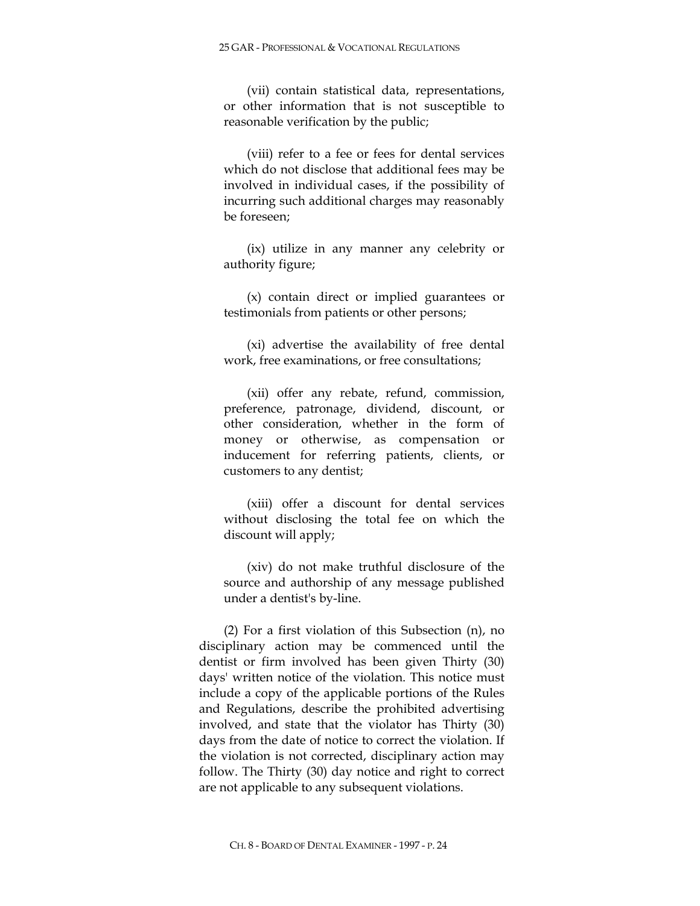(vii) contain statistical data, representations, or other information that is not susceptible to reasonable verification by the public;

(viii) refer to a fee or fees for dental services which do not disclose that additional fees may be involved in individual cases, if the possibility of incurring such additional charges may reasonably be foreseen;

(ix) utilize in any manner any celebrity or authority figure;

(x) contain direct or implied guarantees or testimonials from patients or other persons;

(xi) advertise the availability of free dental work, free examinations, or free consultations;

(xii) offer any rebate, refund, commission, preference, patronage, dividend, discount, or other consideration, whether in the form of money or otherwise, as compensation or inducement for referring patients, clients, or customers to any dentist;

(xiii) offer a discount for dental services without disclosing the total fee on which the discount will apply;

(xiv) do not make truthful disclosure of the source and authorship of any message published under a dentist's by-line.

(2) For a first violation of this Subsection (n), no disciplinary action may be commenced until the dentist or firm involved has been given Thirty (30) days' written notice of the violation. This notice must include a copy of the applicable portions of the Rules and Regulations, describe the prohibited advertising involved, and state that the violator has Thirty (30) days from the date of notice to correct the violation. If the violation is not corrected, disciplinary action may follow. The Thirty (30) day notice and right to correct are not applicable to any subsequent violations.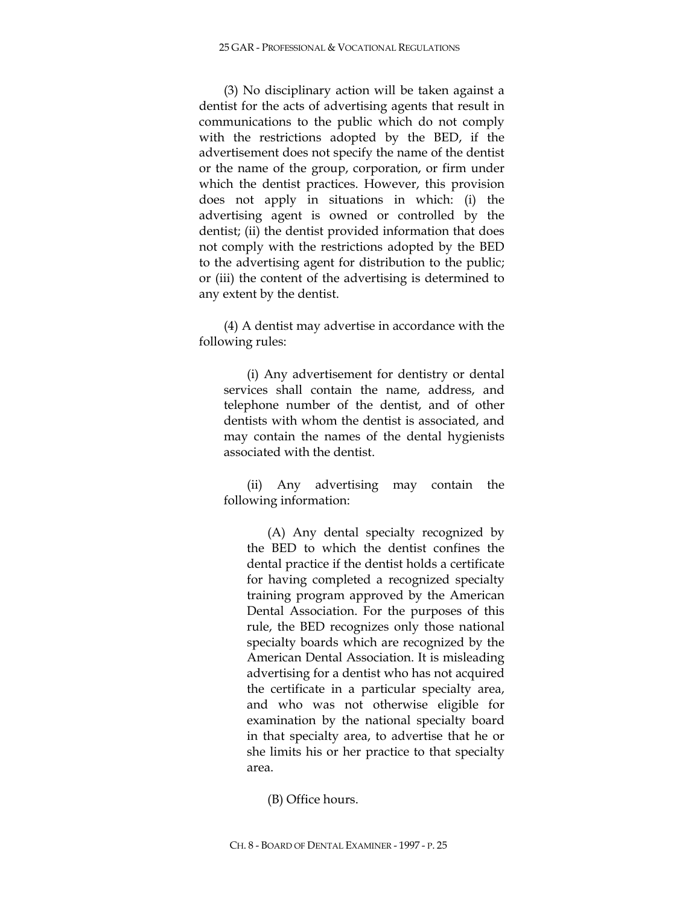(3) No disciplinary action will be taken against a dentist for the acts of advertising agents that result in communications to the public which do not comply with the restrictions adopted by the BED, if the advertisement does not specify the name of the dentist or the name of the group, corporation, or firm under which the dentist practices. However, this provision does not apply in situations in which: (i) the advertising agent is owned or controlled by the dentist; (ii) the dentist provided information that does not comply with the restrictions adopted by the BED to the advertising agent for distribution to the public; or (iii) the content of the advertising is determined to any extent by the dentist.

(4) A dentist may advertise in accordance with the following rules:

(i) Any advertisement for dentistry or dental services shall contain the name, address, and telephone number of the dentist, and of other dentists with whom the dentist is associated, and may contain the names of the dental hygienists associated with the dentist.

(ii) Any advertising may contain the following information:

(A) Any dental specialty recognized by the BED to which the dentist confines the dental practice if the dentist holds a certificate for having completed a recognized specialty training program approved by the American Dental Association. For the purposes of this rule, the BED recognizes only those national specialty boards which are recognized by the American Dental Association. It is misleading advertising for a dentist who has not acquired the certificate in a particular specialty area, and who was not otherwise eligible for examination by the national specialty board in that specialty area, to advertise that he or she limits his or her practice to that specialty area.

(B) Office hours.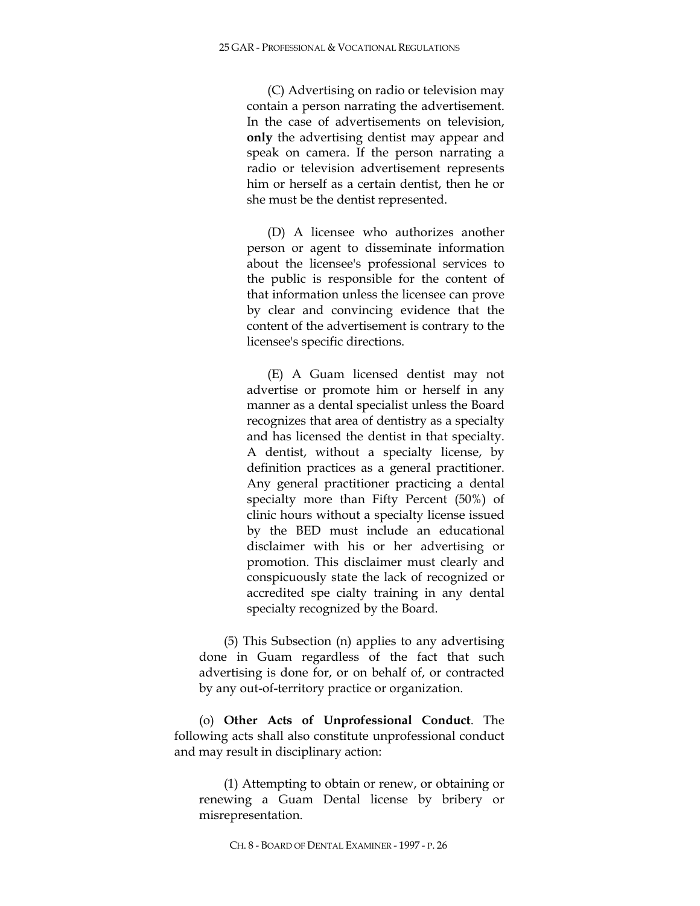(C) Advertising on radio or television may contain a person narrating the advertisement. In the case of advertisements on television, **only** the advertising dentist may appear and speak on camera. If the person narrating a radio or television advertisement represents him or herself as a certain dentist, then he or she must be the dentist represented.

(D) A licensee who authorizes another person or agent to disseminate information about the licensee's professional services to the public is responsible for the content of that information unless the licensee can prove by clear and convincing evidence that the content of the advertisement is contrary to the licensee's specific directions.

(E) A Guam licensed dentist may not advertise or promote him or herself in any manner as a dental specialist unless the Board recognizes that area of dentistry as a specialty and has licensed the dentist in that specialty. A dentist, without a specialty license, by definition practices as a general practitioner. Any general practitioner practicing a dental specialty more than Fifty Percent (50%) of clinic hours without a specialty license issued by the BED must include an educational disclaimer with his or her advertising or promotion. This disclaimer must clearly and conspicuously state the lack of recognized or accredited spe cialty training in any dental specialty recognized by the Board.

(5) This Subsection (n) applies to any advertising done in Guam regardless of the fact that such advertising is done for, or on behalf of, or contracted by any out-of-territory practice or organization.

(o) **Other Acts of Unprofessional Conduct**. The following acts shall also constitute unprofessional conduct and may result in disciplinary action:

(1) Attempting to obtain or renew, or obtaining or renewing a Guam Dental license by bribery or misrepresentation.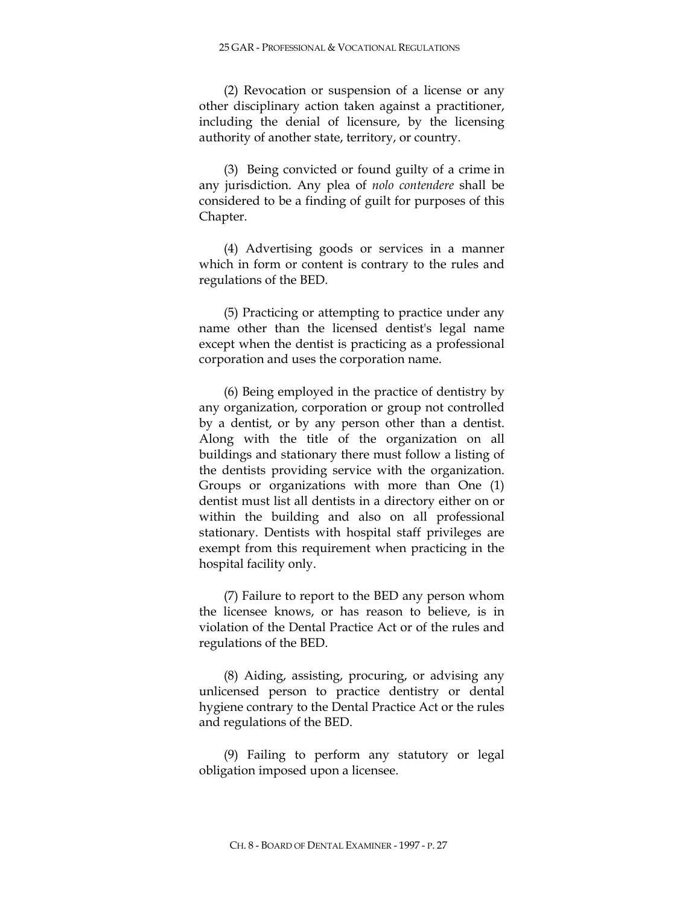(2) Revocation or suspension of a license or any other disciplinary action taken against a practitioner, including the denial of licensure, by the licensing authority of another state, territory, or country.

(3) Being convicted or found guilty of a crime in any jurisdiction. Any plea of *nolo contendere* shall be considered to be a finding of guilt for purposes of this Chapter.

(4) Advertising goods or services in a manner which in form or content is contrary to the rules and regulations of the BED.

(5) Practicing or attempting to practice under any name other than the licensed dentist's legal name except when the dentist is practicing as a professional corporation and uses the corporation name.

(6) Being employed in the practice of dentistry by any organization, corporation or group not controlled by a dentist, or by any person other than a dentist. Along with the title of the organization on all buildings and stationary there must follow a listing of the dentists providing service with the organization. Groups or organizations with more than One (1) dentist must list all dentists in a directory either on or within the building and also on all professional stationary. Dentists with hospital staff privileges are exempt from this requirement when practicing in the hospital facility only.

(7) Failure to report to the BED any person whom the licensee knows, or has reason to believe, is in violation of the Dental Practice Act or of the rules and regulations of the BED.

(8) Aiding, assisting, procuring, or advising any unlicensed person to practice dentistry or dental hygiene contrary to the Dental Practice Act or the rules and regulations of the BED.

(9) Failing to perform any statutory or legal obligation imposed upon a licensee.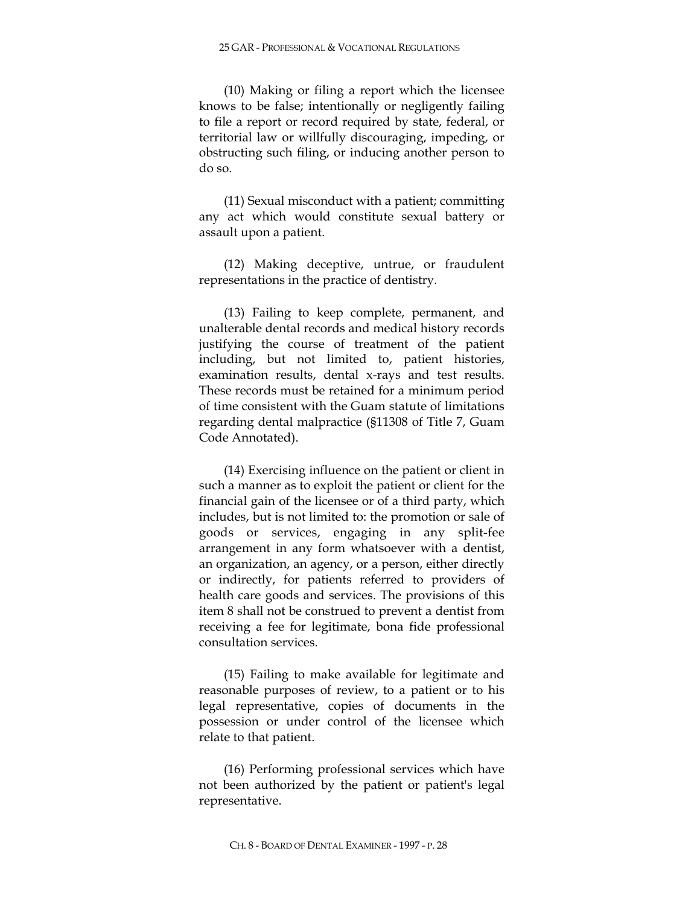(10) Making or filing a report which the licensee knows to be false; intentionally or negligently failing to file a report or record required by state, federal, or territorial law or willfully discouraging, impeding, or obstructing such filing, or inducing another person to do so.

(11) Sexual misconduct with a patient; committing any act which would constitute sexual battery or assault upon a patient.

(12) Making deceptive, untrue, or fraudulent representations in the practice of dentistry.

(13) Failing to keep complete, permanent, and unalterable dental records and medical history records justifying the course of treatment of the patient including, but not limited to, patient histories, examination results, dental x-rays and test results. These records must be retained for a minimum period of time consistent with the Guam statute of limitations regarding dental malpractice (§11308 of Title 7, Guam Code Annotated).

(14) Exercising influence on the patient or client in such a manner as to exploit the patient or client for the financial gain of the licensee or of a third party, which includes, but is not limited to: the promotion or sale of goods or services, engaging in any split-fee arrangement in any form whatsoever with a dentist, an organization, an agency, or a person, either directly or indirectly, for patients referred to providers of health care goods and services. The provisions of this item 8 shall not be construed to prevent a dentist from receiving a fee for legitimate, bona fide professional consultation services.

(15) Failing to make available for legitimate and reasonable purposes of review, to a patient or to his legal representative, copies of documents in the possession or under control of the licensee which relate to that patient.

(16) Performing professional services which have not been authorized by the patient or patient's legal representative.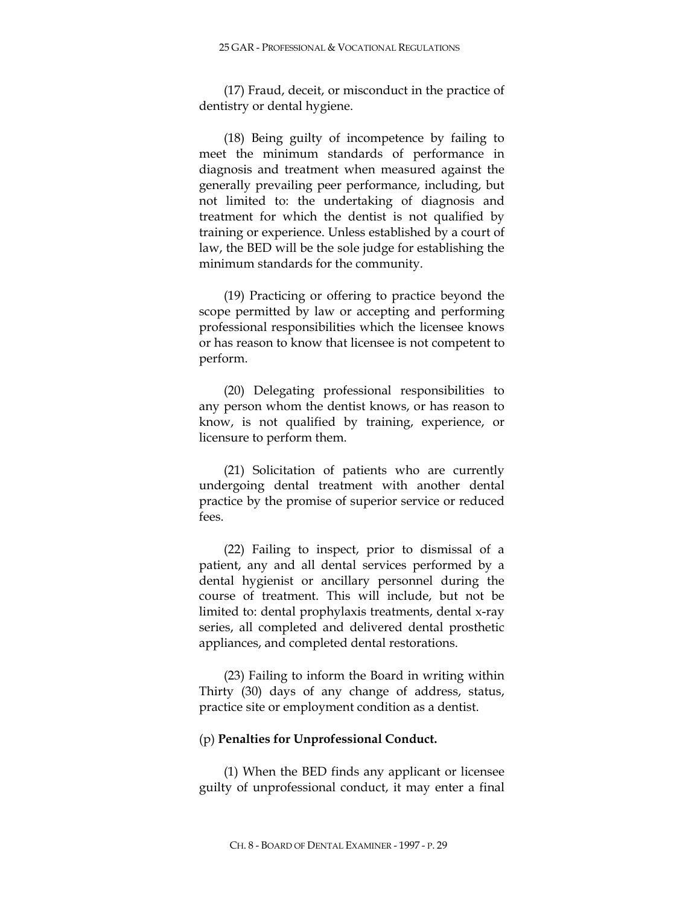(17) Fraud, deceit, or misconduct in the practice of dentistry or dental hygiene.

(18) Being guilty of incompetence by failing to meet the minimum standards of performance in diagnosis and treatment when measured against the generally prevailing peer performance, including, but not limited to: the undertaking of diagnosis and treatment for which the dentist is not qualified by training or experience. Unless established by a court of law, the BED will be the sole judge for establishing the minimum standards for the community.

(19) Practicing or offering to practice beyond the scope permitted by law or accepting and performing professional responsibilities which the licensee knows or has reason to know that licensee is not competent to perform.

(20) Delegating professional responsibilities to any person whom the dentist knows, or has reason to know, is not qualified by training, experience, or licensure to perform them.

(21) Solicitation of patients who are currently undergoing dental treatment with another dental practice by the promise of superior service or reduced fees.

(22) Failing to inspect, prior to dismissal of a patient, any and all dental services performed by a dental hygienist or ancillary personnel during the course of treatment. This will include, but not be limited to: dental prophylaxis treatments, dental x-ray series, all completed and delivered dental prosthetic appliances, and completed dental restorations.

(23) Failing to inform the Board in writing within Thirty (30) days of any change of address, status, practice site or employment condition as a dentist.

#### (p) **Penalties for Unprofessional Conduct.**

(1) When the BED finds any applicant or licensee guilty of unprofessional conduct, it may enter a final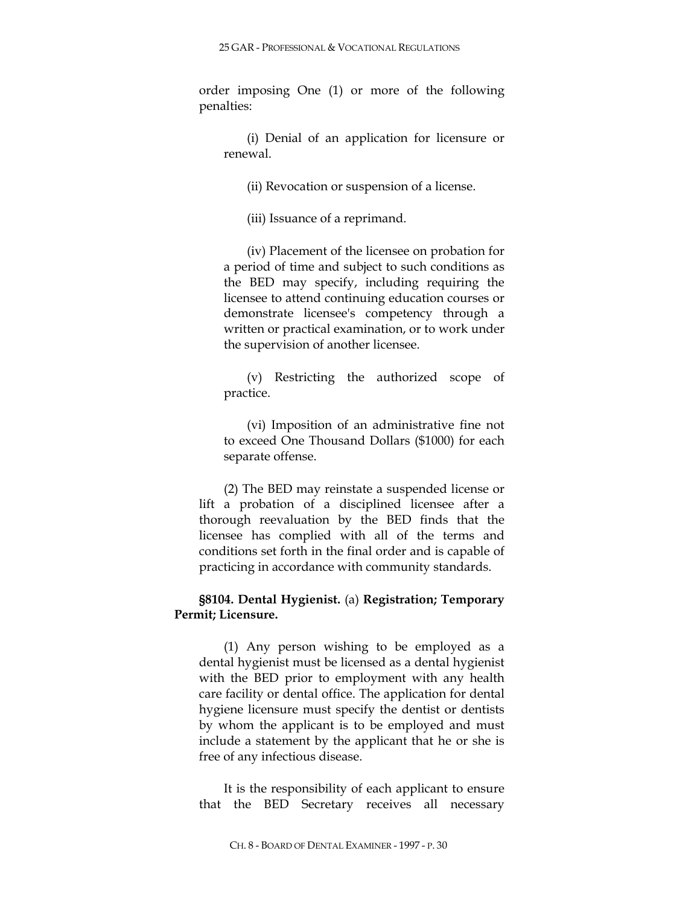order imposing One (1) or more of the following penalties:

(i) Denial of an application for licensure or renewal.

(ii) Revocation or suspension of a license.

(iii) Issuance of a reprimand.

(iv) Placement of the licensee on probation for a period of time and subject to such conditions as the BED may specify, including requiring the licensee to attend continuing education courses or demonstrate licensee's competency through a written or practical examination, or to work under the supervision of another licensee.

(v) Restricting the authorized scope of practice.

(vi) Imposition of an administrative fine not to exceed One Thousand Dollars (\$1000) for each separate offense.

(2) The BED may reinstate a suspended license or lift a probation of a disciplined licensee after a thorough reevaluation by the BED finds that the licensee has complied with all of the terms and conditions set forth in the final order and is capable of practicing in accordance with community standards.

# **§8104. Dental Hygienist.** (a) **Registration; Temporary Permit; Licensure.**

(1) Any person wishing to be employed as a dental hygienist must be licensed as a dental hygienist with the BED prior to employment with any health care facility or dental office. The application for dental hygiene licensure must specify the dentist or dentists by whom the applicant is to be employed and must include a statement by the applicant that he or she is free of any infectious disease.

It is the responsibility of each applicant to ensure that the BED Secretary receives all necessary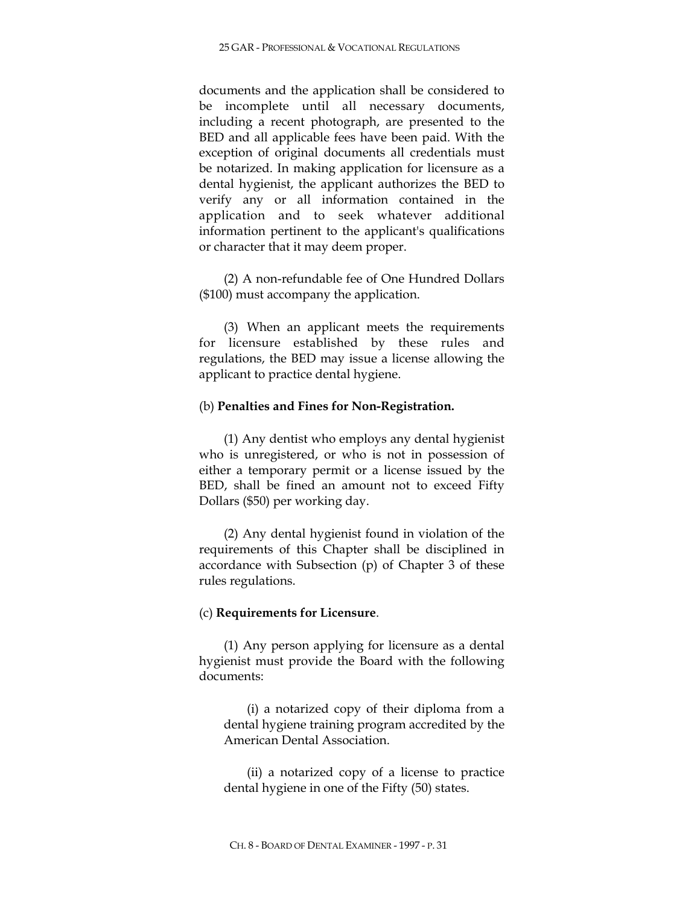documents and the application shall be considered to be incomplete until all necessary documents, including a recent photograph, are presented to the BED and all applicable fees have been paid. With the exception of original documents all credentials must be notarized. In making application for licensure as a dental hygienist, the applicant authorizes the BED to verify any or all information contained in the application and to seek whatever additional information pertinent to the applicant's qualifications or character that it may deem proper.

(2) A non-refundable fee of One Hundred Dollars (\$100) must accompany the application.

(3) When an applicant meets the requirements for licensure established by these rules and regulations, the BED may issue a license allowing the applicant to practice dental hygiene.

### (b) **Penalties and Fines for Non-Registration.**

(1) Any dentist who employs any dental hygienist who is unregistered, or who is not in possession of either a temporary permit or a license issued by the BED, shall be fined an amount not to exceed Fifty Dollars (\$50) per working day.

(2) Any dental hygienist found in violation of the requirements of this Chapter shall be disciplined in accordance with Subsection (p) of Chapter 3 of these rules regulations.

## (c) **Requirements for Licensure**.

(1) Any person applying for licensure as a dental hygienist must provide the Board with the following documents:

(i) a notarized copy of their diploma from a dental hygiene training program accredited by the American Dental Association.

(ii) a notarized copy of a license to practice dental hygiene in one of the Fifty (50) states.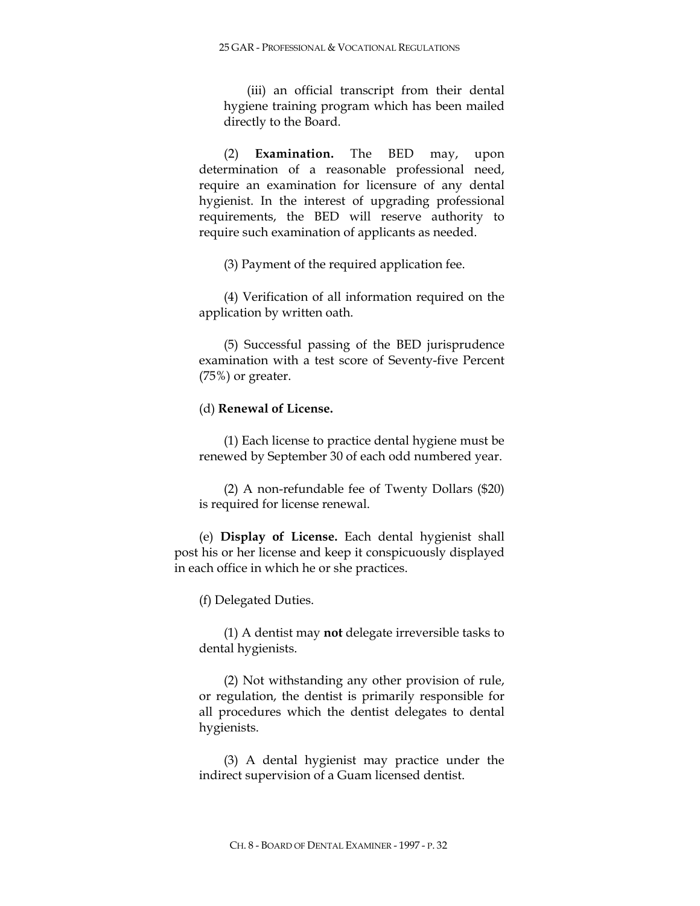(iii) an official transcript from their dental hygiene training program which has been mailed directly to the Board.

(2) **Examination.** The BED may, upon determination of a reasonable professional need, require an examination for licensure of any dental hygienist. In the interest of upgrading professional requirements, the BED will reserve authority to require such examination of applicants as needed.

(3) Payment of the required application fee.

(4) Verification of all information required on the application by written oath.

(5) Successful passing of the BED jurisprudence examination with a test score of Seventy-five Percent (75%) or greater.

## (d) **Renewal of License.**

(1) Each license to practice dental hygiene must be renewed by September 30 of each odd numbered year.

(2) A non-refundable fee of Twenty Dollars (\$20) is required for license renewal.

(e) **Display of License.** Each dental hygienist shall post his or her license and keep it conspicuously displayed in each office in which he or she practices.

(f) Delegated Duties.

(1) A dentist may **not** delegate irreversible tasks to dental hygienists.

(2) Not withstanding any other provision of rule, or regulation, the dentist is primarily responsible for all procedures which the dentist delegates to dental hygienists.

(3) A dental hygienist may practice under the indirect supervision of a Guam licensed dentist.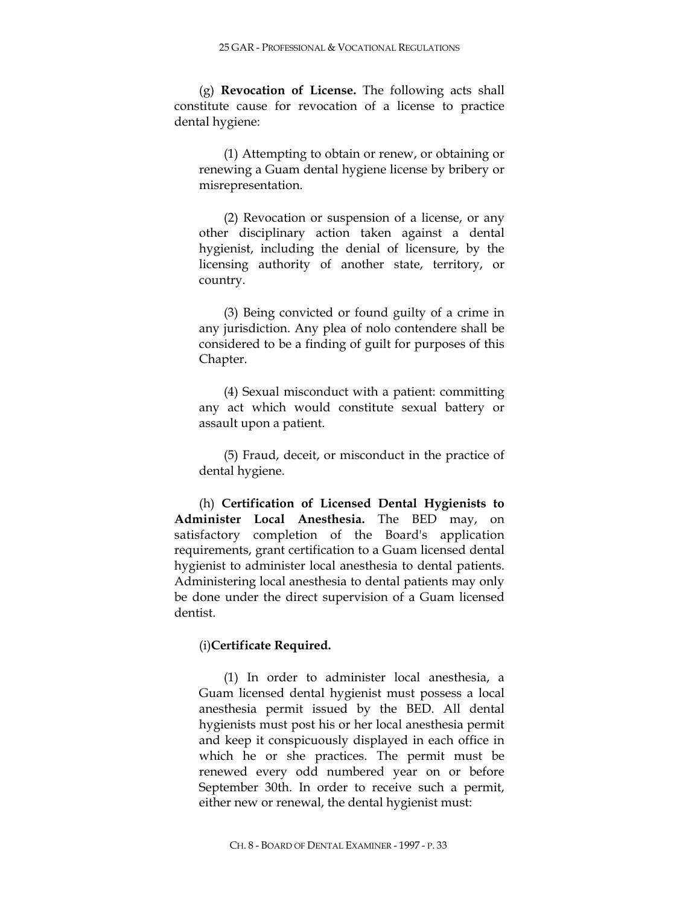(g) **Revocation of License.** The following acts shall constitute cause for revocation of a license to practice dental hygiene:

(1) Attempting to obtain or renew, or obtaining or renewing a Guam dental hygiene license by bribery or misrepresentation.

(2) Revocation or suspension of a license, or any other disciplinary action taken against a dental hygienist, including the denial of licensure, by the licensing authority of another state, territory, or country.

(3) Being convicted or found guilty of a crime in any jurisdiction. Any plea of nolo contendere shall be considered to be a finding of guilt for purposes of this Chapter.

(4) Sexual misconduct with a patient: committing any act which would constitute sexual battery or assault upon a patient.

(5) Fraud, deceit, or misconduct in the practice of dental hygiene.

(h) **Certification of Licensed Dental Hygienists to Administer Local Anesthesia.** The BED may, on satisfactory completion of the Board's application requirements, grant certification to a Guam licensed dental hygienist to administer local anesthesia to dental patients. Administering local anesthesia to dental patients may only be done under the direct supervision of a Guam licensed dentist.

## (i)**Certificate Required.**

(1) In order to administer local anesthesia, a Guam licensed dental hygienist must possess a local anesthesia permit issued by the BED. All dental hygienists must post his or her local anesthesia permit and keep it conspicuously displayed in each office in which he or she practices. The permit must be renewed every odd numbered year on or before September 30th. In order to receive such a permit, either new or renewal, the dental hygienist must: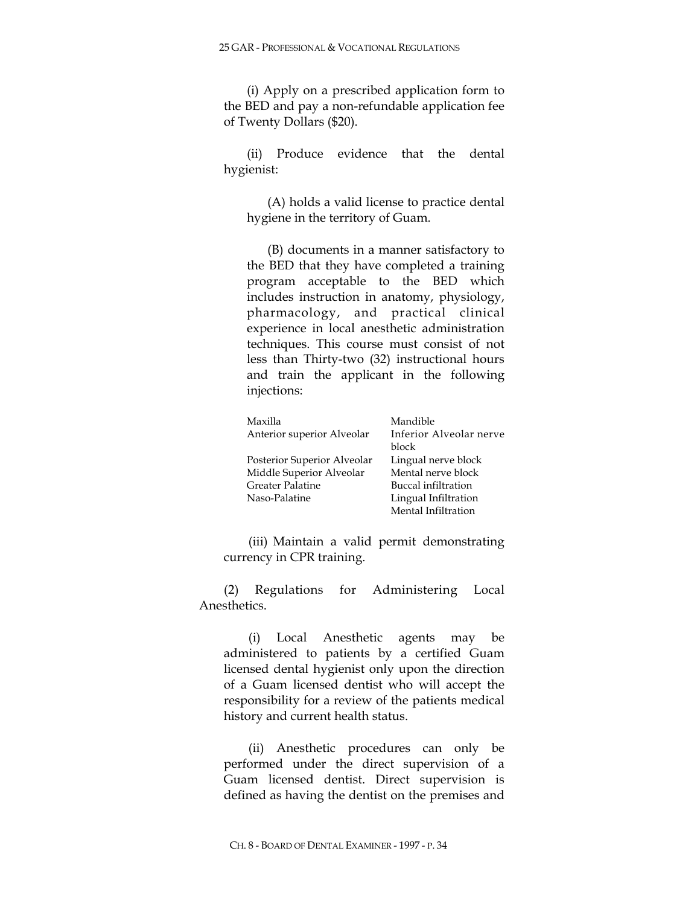(i) Apply on a prescribed application form to the BED and pay a non-refundable application fee of Twenty Dollars (\$20).

(ii) Produce evidence that the dental hygienist:

(A) holds a valid license to practice dental hygiene in the territory of Guam.

(B) documents in a manner satisfactory to the BED that they have completed a training program acceptable to the BED which includes instruction in anatomy, physiology, pharmacology, and practical clinical experience in local anesthetic administration techniques. This course must consist of not less than Thirty-two (32) instructional hours and train the applicant in the following injections:

| Maxilla                     | Mandible                |
|-----------------------------|-------------------------|
| Anterior superior Alveolar  | Inferior Alveolar nerve |
|                             | block                   |
| Posterior Superior Alveolar | Lingual nerve block     |
| Middle Superior Alveolar    | Mental nerve block      |
| <b>Greater Palatine</b>     | Buccal infiltration     |
| Naso-Palatine               | Lingual Infiltration    |
|                             | Mental Infiltration     |

(iii) Maintain a valid permit demonstrating currency in CPR training.

(2) Regulations for Administering Local Anesthetics.

(i) Local Anesthetic agents may be administered to patients by a certified Guam licensed dental hygienist only upon the direction of a Guam licensed dentist who will accept the responsibility for a review of the patients medical history and current health status.

(ii) Anesthetic procedures can only be performed under the direct supervision of a Guam licensed dentist. Direct supervision is defined as having the dentist on the premises and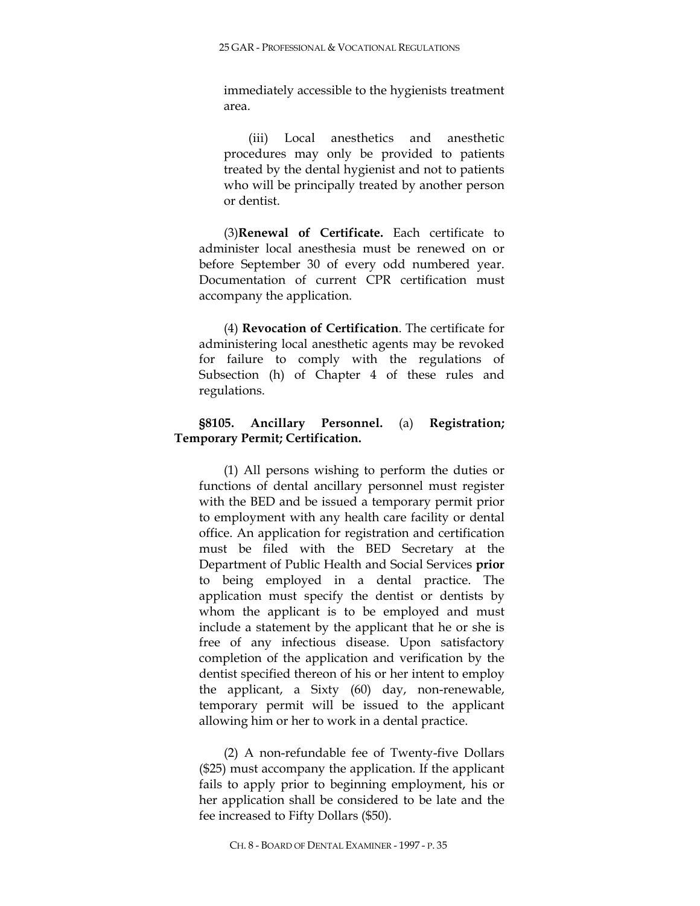immediately accessible to the hygienists treatment area.

(iii) Local anesthetics and anesthetic procedures may only be provided to patients treated by the dental hygienist and not to patients who will be principally treated by another person or dentist.

(3)**Renewal of Certificate.** Each certificate to administer local anesthesia must be renewed on or before September 30 of every odd numbered year. Documentation of current CPR certification must accompany the application.

(4) **Revocation of Certification**. The certificate for administering local anesthetic agents may be revoked for failure to comply with the regulations of Subsection (h) of Chapter 4 of these rules and regulations.

# **§8105. Ancillary Personnel.** (a) **Registration; Temporary Permit; Certification.**

(1) All persons wishing to perform the duties or functions of dental ancillary personnel must register with the BED and be issued a temporary permit prior to employment with any health care facility or dental office. An application for registration and certification must be filed with the BED Secretary at the Department of Public Health and Social Services **prior** to being employed in a dental practice. The application must specify the dentist or dentists by whom the applicant is to be employed and must include a statement by the applicant that he or she is free of any infectious disease. Upon satisfactory completion of the application and verification by the dentist specified thereon of his or her intent to employ the applicant, a Sixty (60) day, non-renewable, temporary permit will be issued to the applicant allowing him or her to work in a dental practice.

(2) A non-refundable fee of Twenty-five Dollars (\$25) must accompany the application. If the applicant fails to apply prior to beginning employment, his or her application shall be considered to be late and the fee increased to Fifty Dollars (\$50).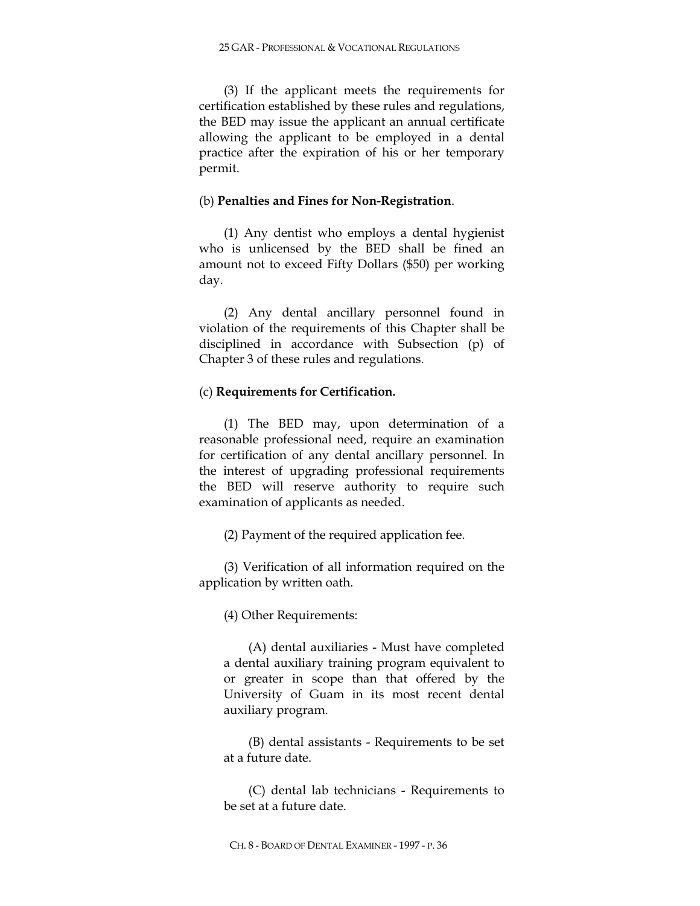(3) If the applicant meets the requirements for certification established by these rules and regulations, the BED may issue the applicant an annual certificate allowing the applicant to be employed in a dental practice after the expiration of his or her temporary permit.

### (b) **Penalties and Fines for Non-Registration**.

(1) Any dentist who employs a dental hygienist who is unlicensed by the BED shall be fined an amount not to exceed Fifty Dollars (\$50) per working day.

(2) Any dental ancillary personnel found in violation of the requirements of this Chapter shall be disciplined in accordance with Subsection (p) of Chapter 3 of these rules and regulations.

## (c) **Requirements for Certification.**

(1) The BED may, upon determination of a reasonable professional need, require an examination for certification of any dental ancillary personnel. In the interest of upgrading professional requirements the BED will reserve authority to require such examination of applicants as needed.

(2) Payment of the required application fee.

(3) Verification of all information required on the application by written oath.

(4) Other Requirements:

(A) dental auxiliaries - Must have completed a dental auxiliary training program equivalent to or greater in scope than that offered by the University of Guam in its most recent dental auxiliary program.

(B) dental assistants - Requirements to be set at a future date.

(C) dental lab technicians - Requirements to be set at a future date.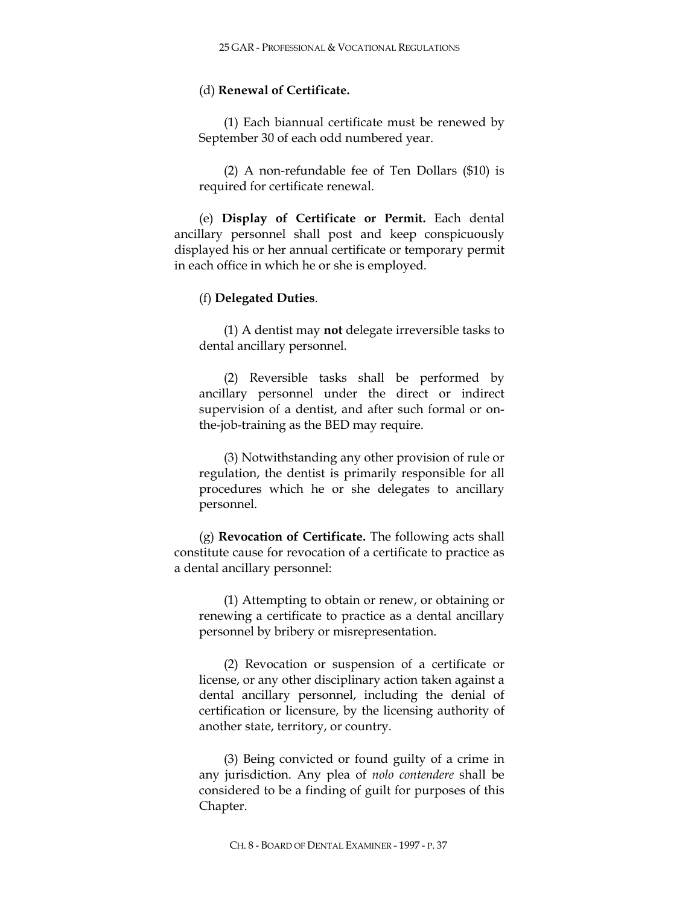### (d) **Renewal of Certificate.**

(1) Each biannual certificate must be renewed by September 30 of each odd numbered year.

(2) A non-refundable fee of Ten Dollars (\$10) is required for certificate renewal.

(e) **Display of Certificate or Permit.** Each dental ancillary personnel shall post and keep conspicuously displayed his or her annual certificate or temporary permit in each office in which he or she is employed.

#### (f) **Delegated Duties**.

(1) A dentist may **not** delegate irreversible tasks to dental ancillary personnel.

(2) Reversible tasks shall be performed by ancillary personnel under the direct or indirect supervision of a dentist, and after such formal or onthe-job-training as the BED may require.

(3) Notwithstanding any other provision of rule or regulation, the dentist is primarily responsible for all procedures which he or she delegates to ancillary personnel.

(g) **Revocation of Certificate.** The following acts shall constitute cause for revocation of a certificate to practice as a dental ancillary personnel:

(1) Attempting to obtain or renew, or obtaining or renewing a certificate to practice as a dental ancillary personnel by bribery or misrepresentation.

(2) Revocation or suspension of a certificate or license, or any other disciplinary action taken against a dental ancillary personnel, including the denial of certification or licensure, by the licensing authority of another state, territory, or country.

(3) Being convicted or found guilty of a crime in any jurisdiction. Any plea of *nolo contendere* shall be considered to be a finding of guilt for purposes of this Chapter.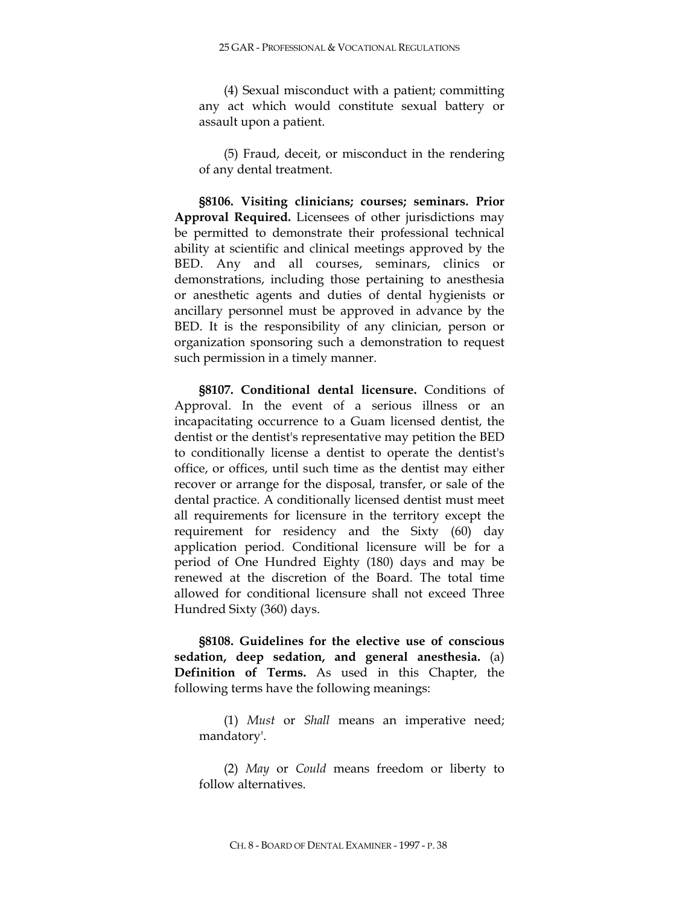(4) Sexual misconduct with a patient; committing any act which would constitute sexual battery or assault upon a patient.

(5) Fraud, deceit, or misconduct in the rendering of any dental treatment.

**§8106. Visiting clinicians; courses; seminars. Prior Approval Required.** Licensees of other jurisdictions may be permitted to demonstrate their professional technical ability at scientific and clinical meetings approved by the BED. Any and all courses, seminars, clinics or demonstrations, including those pertaining to anesthesia or anesthetic agents and duties of dental hygienists or ancillary personnel must be approved in advance by the BED. It is the responsibility of any clinician, person or organization sponsoring such a demonstration to request such permission in a timely manner.

**§8107. Conditional dental licensure.** Conditions of Approval. In the event of a serious illness or an incapacitating occurrence to a Guam licensed dentist, the dentist or the dentist's representative may petition the BED to conditionally license a dentist to operate the dentist's office, or offices, until such time as the dentist may either recover or arrange for the disposal, transfer, or sale of the dental practice. A conditionally licensed dentist must meet all requirements for licensure in the territory except the requirement for residency and the Sixty (60) day application period. Conditional licensure will be for a period of One Hundred Eighty (180) days and may be renewed at the discretion of the Board. The total time allowed for conditional licensure shall not exceed Three Hundred Sixty (360) days.

**§8108. Guidelines for the elective use of conscious sedation, deep sedation, and general anesthesia.** (a) **Definition of Terms.** As used in this Chapter, the following terms have the following meanings:

(1) *Must* or *Shall* means an imperative need; mandatory'.

(2) *May* or *Could* means freedom or liberty to follow alternatives.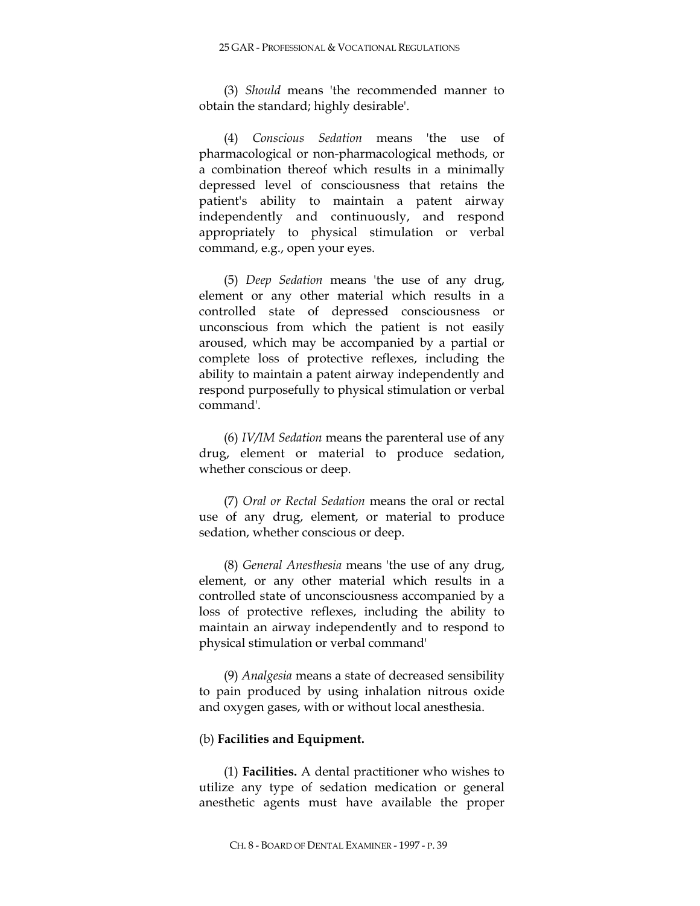(3) *Should* means 'the recommended manner to obtain the standard; highly desirable'.

(4) *Conscious Sedation* means 'the use of pharmacological or non-pharmacological methods, or a combination thereof which results in a minimally depressed level of consciousness that retains the patient's ability to maintain a patent airway independently and continuously, and respond appropriately to physical stimulation or verbal command, e.g., open your eyes.

(5) *Deep Sedation* means 'the use of any drug, element or any other material which results in a controlled state of depressed consciousness or unconscious from which the patient is not easily aroused, which may be accompanied by a partial or complete loss of protective reflexes, including the ability to maintain a patent airway independently and respond purposefully to physical stimulation or verbal command'.

(6) *IV/IM Sedation* means the parenteral use of any drug, element or material to produce sedation, whether conscious or deep.

(7) *Oral or Rectal Sedation* means the oral or rectal use of any drug, element, or material to produce sedation, whether conscious or deep.

(8) *General Anesthesia* means 'the use of any drug, element, or any other material which results in a controlled state of unconsciousness accompanied by a loss of protective reflexes, including the ability to maintain an airway independently and to respond to physical stimulation or verbal command'

(9) *Analgesia* means a state of decreased sensibility to pain produced by using inhalation nitrous oxide and oxygen gases, with or without local anesthesia.

### (b) **Facilities and Equipment.**

(1) **Facilities.** A dental practitioner who wishes to utilize any type of sedation medication or general anesthetic agents must have available the proper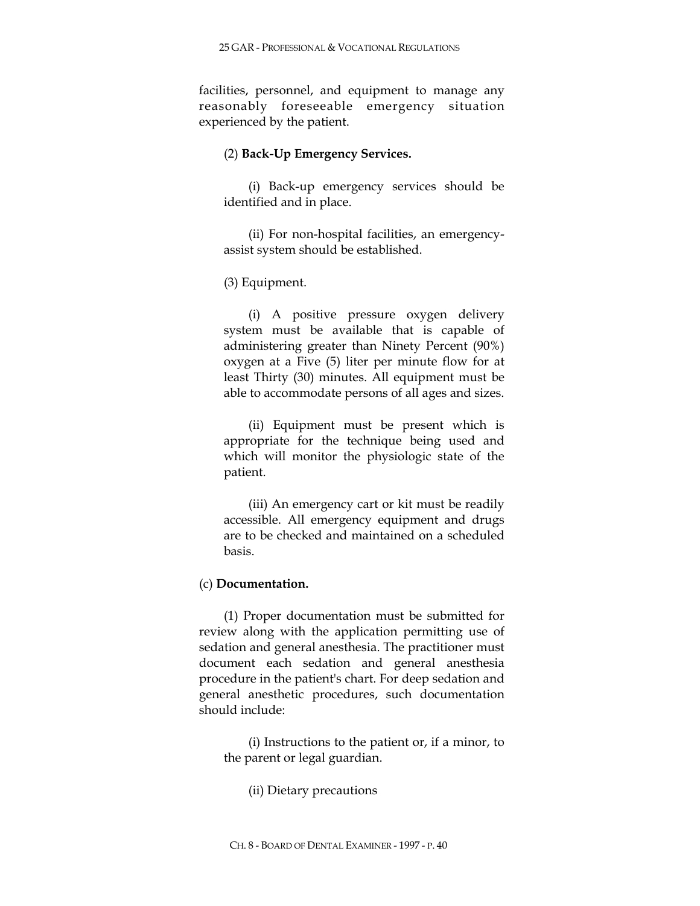facilities, personnel, and equipment to manage any reasonably foreseeable emergency situation experienced by the patient.

## (2) **Back-Up Emergency Services.**

(i) Back-up emergency services should be identified and in place.

(ii) For non-hospital facilities, an emergencyassist system should be established.

# (3) Equipment.

(i) A positive pressure oxygen delivery system must be available that is capable of administering greater than Ninety Percent (90%) oxygen at a Five (5) liter per minute flow for at least Thirty (30) minutes. All equipment must be able to accommodate persons of all ages and sizes.

(ii) Equipment must be present which is appropriate for the technique being used and which will monitor the physiologic state of the patient.

(iii) An emergency cart or kit must be readily accessible. All emergency equipment and drugs are to be checked and maintained on a scheduled basis.

# (c) **Documentation.**

(1) Proper documentation must be submitted for review along with the application permitting use of sedation and general anesthesia. The practitioner must document each sedation and general anesthesia procedure in the patient's chart. For deep sedation and general anesthetic procedures, such documentation should include:

(i) Instructions to the patient or, if a minor, to the parent or legal guardian.

(ii) Dietary precautions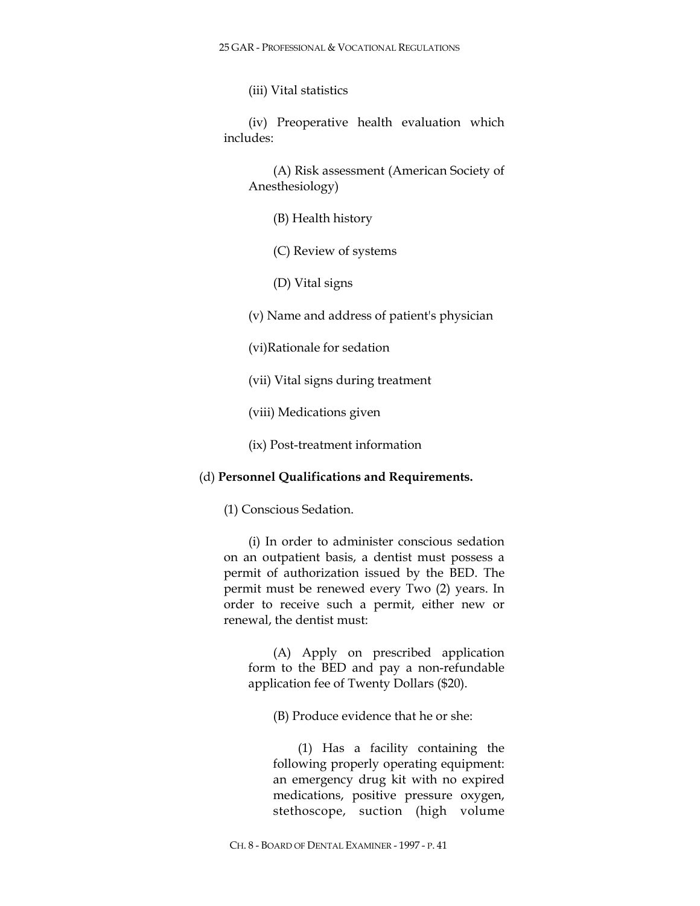(iii) Vital statistics

(iv) Preoperative health evaluation which includes:

(A) Risk assessment (American Society of Anesthesiology)

(B) Health history

(C) Review of systems

(D) Vital signs

(v) Name and address of patient's physician

(vi)Rationale for sedation

(vii) Vital signs during treatment

(viii) Medications given

(ix) Post-treatment information

## (d) **Personnel Qualifications and Requirements.**

(1) Conscious Sedation.

(i) In order to administer conscious sedation on an outpatient basis, a dentist must possess a permit of authorization issued by the BED. The permit must be renewed every Two (2) years. In order to receive such a permit, either new or renewal, the dentist must:

(A) Apply on prescribed application form to the BED and pay a non-refundable application fee of Twenty Dollars (\$20).

(B) Produce evidence that he or she:

(1) Has a facility containing the following properly operating equipment: an emergency drug kit with no expired medications, positive pressure oxygen, stethoscope, suction (high volume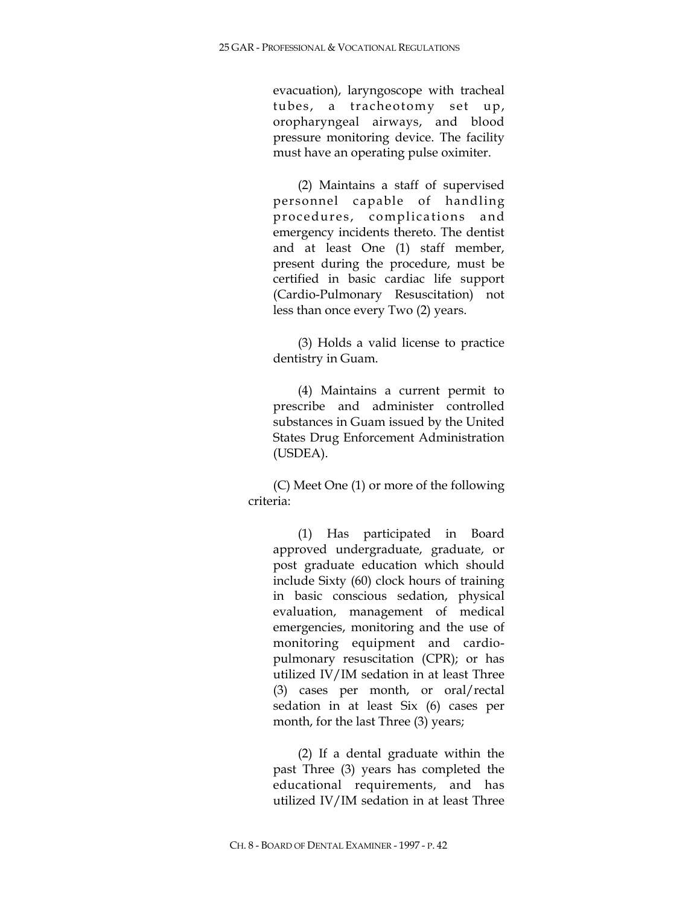evacuation), laryngoscope with tracheal tubes, a tracheotomy set up, oropharyngeal airways, and blood pressure monitoring device. The facility must have an operating pulse oximiter.

(2) Maintains a staff of supervised personnel capable of handling procedures, complications and emergency incidents thereto. The dentist and at least One (1) staff member, present during the procedure, must be certified in basic cardiac life support (Cardio-Pulmonary Resuscitation) not less than once every Two (2) years.

(3) Holds a valid license to practice dentistry in Guam.

(4) Maintains a current permit to prescribe and administer controlled substances in Guam issued by the United States Drug Enforcement Administration (USDEA).

(C) Meet One (1) or more of the following criteria:

(1) Has participated in Board approved undergraduate, graduate, or post graduate education which should include Sixty (60) clock hours of training in basic conscious sedation, physical evaluation, management of medical emergencies, monitoring and the use of monitoring equipment and cardiopulmonary resuscitation (CPR); or has utilized IV/IM sedation in at least Three (3) cases per month, or oral/rectal sedation in at least Six (6) cases per month, for the last Three (3) years;

(2) If a dental graduate within the past Three (3) years has completed the educational requirements, and has utilized IV/IM sedation in at least Three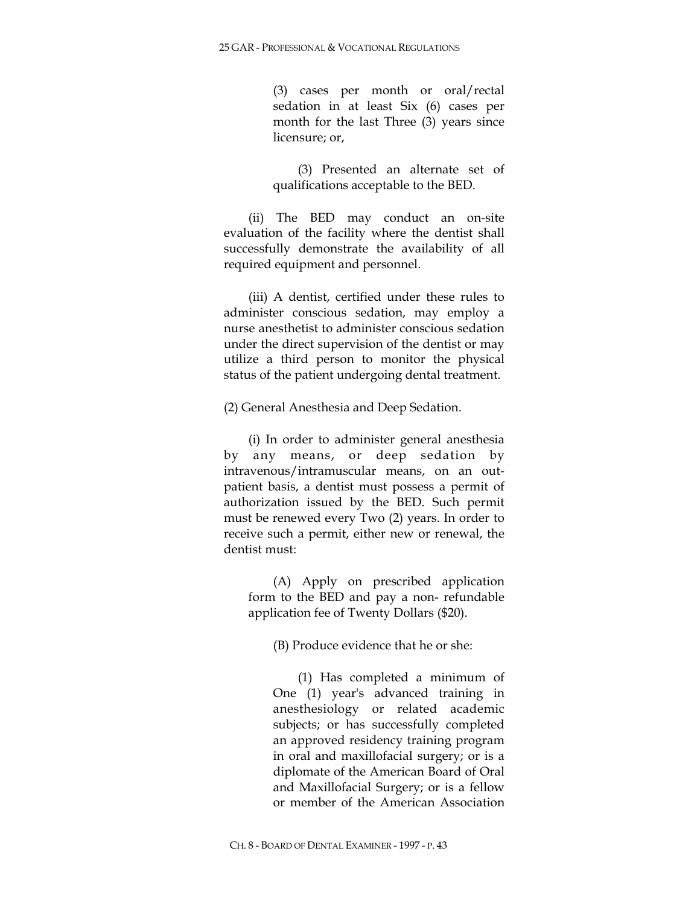(3) cases per month or oral/rectal sedation in at least Six (6) cases per month for the last Three (3) years since licensure; or,

(3) Presented an alternate set of qualifications acceptable to the BED.

(ii) The BED may conduct an on-site evaluation of the facility where the dentist shall successfully demonstrate the availability of all required equipment and personnel.

(iii) A dentist, certified under these rules to administer conscious sedation, may employ a nurse anesthetist to administer conscious sedation under the direct supervision of the dentist or may utilize a third person to monitor the physical status of the patient undergoing dental treatment.

(2) General Anesthesia and Deep Sedation.

(i) In order to administer general anesthesia by any means, or deep sedation by intravenous/intramuscular means, on an outpatient basis, a dentist must possess a permit of authorization issued by the BED. Such permit must be renewed every Two (2) years. In order to receive such a permit, either new or renewal, the dentist must:

(A) Apply on prescribed application form to the BED and pay a non- refundable application fee of Twenty Dollars (\$20).

(B) Produce evidence that he or she:

(1) Has completed a minimum of One (1) year's advanced training in anesthesiology or related academic subjects; or has successfully completed an approved residency training program in oral and maxillofacial surgery; or is a diplomate of the American Board of Oral and Maxillofacial Surgery; or is a fellow or member of the American Association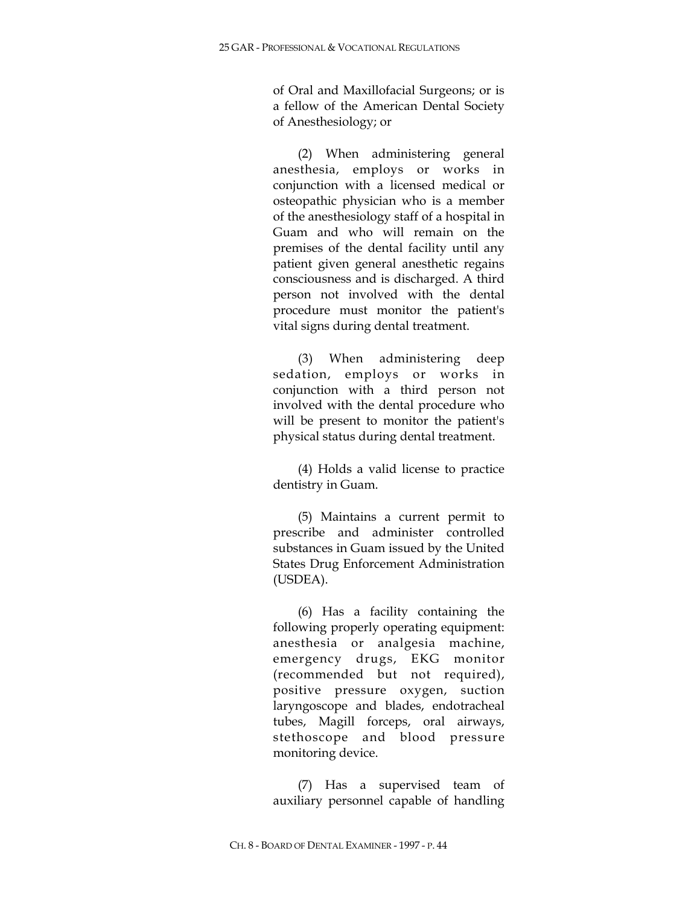of Oral and Maxillofacial Surgeons; or is a fellow of the American Dental Society of Anesthesiology; or

(2) When administering general anesthesia, employs or works in conjunction with a licensed medical or osteopathic physician who is a member of the anesthesiology staff of a hospital in Guam and who will remain on the premises of the dental facility until any patient given general anesthetic regains consciousness and is discharged. A third person not involved with the dental procedure must monitor the patient's vital signs during dental treatment.

(3) When administering deep sedation, employs or works in conjunction with a third person not involved with the dental procedure who will be present to monitor the patient's physical status during dental treatment.

(4) Holds a valid license to practice dentistry in Guam.

(5) Maintains a current permit to prescribe and administer controlled substances in Guam issued by the United States Drug Enforcement Administration (USDEA).

(6) Has a facility containing the following properly operating equipment: anesthesia or analgesia machine, emergency drugs, EKG monitor (recommended but not required), positive pressure oxygen, suction laryngoscope and blades, endotracheal tubes, Magill forceps, oral airways, stethoscope and blood pressure monitoring device.

(7) Has a supervised team of auxiliary personnel capable of handling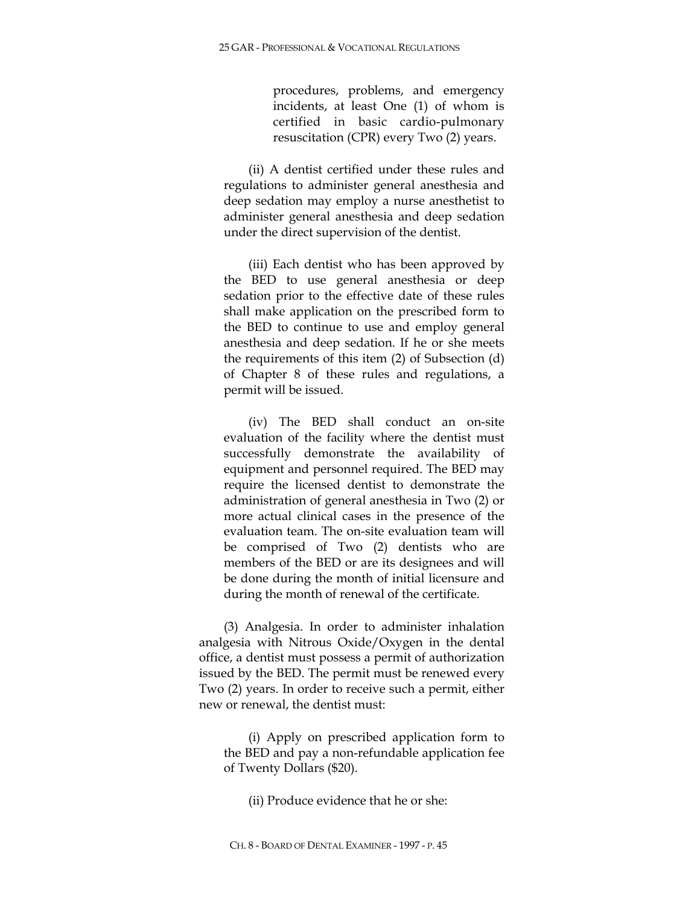procedures, problems, and emergency incidents, at least One (1) of whom is certified in basic cardio-pulmonary resuscitation (CPR) every Two (2) years.

(ii) A dentist certified under these rules and regulations to administer general anesthesia and deep sedation may employ a nurse anesthetist to administer general anesthesia and deep sedation under the direct supervision of the dentist.

(iii) Each dentist who has been approved by the BED to use general anesthesia or deep sedation prior to the effective date of these rules shall make application on the prescribed form to the BED to continue to use and employ general anesthesia and deep sedation. If he or she meets the requirements of this item (2) of Subsection (d) of Chapter 8 of these rules and regulations, a permit will be issued.

(iv) The BED shall conduct an on-site evaluation of the facility where the dentist must successfully demonstrate the availability of equipment and personnel required. The BED may require the licensed dentist to demonstrate the administration of general anesthesia in Two (2) or more actual clinical cases in the presence of the evaluation team. The on-site evaluation team will be comprised of Two (2) dentists who are members of the BED or are its designees and will be done during the month of initial licensure and during the month of renewal of the certificate.

(3) Analgesia. In order to administer inhalation analgesia with Nitrous Oxide/Oxygen in the dental office, a dentist must possess a permit of authorization issued by the BED. The permit must be renewed every Two (2) years. In order to receive such a permit, either new or renewal, the dentist must:

(i) Apply on prescribed application form to the BED and pay a non-refundable application fee of Twenty Dollars (\$20).

(ii) Produce evidence that he or she: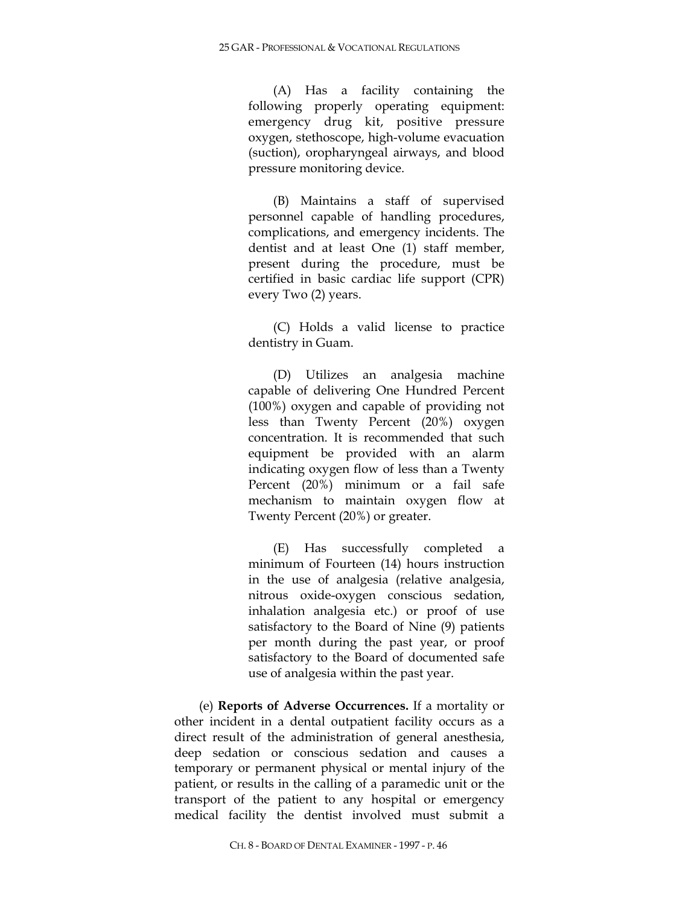(A) Has a facility containing the following properly operating equipment: emergency drug kit, positive pressure oxygen, stethoscope, high-volume evacuation (suction), oropharyngeal airways, and blood pressure monitoring device.

(B) Maintains a staff of supervised personnel capable of handling procedures, complications, and emergency incidents. The dentist and at least One (1) staff member, present during the procedure, must be certified in basic cardiac life support (CPR) every Two (2) years.

(C) Holds a valid license to practice dentistry in Guam.

(D) Utilizes an analgesia machine capable of delivering One Hundred Percent (100%) oxygen and capable of providing not less than Twenty Percent (20%) oxygen concentration. It is recommended that such equipment be provided with an alarm indicating oxygen flow of less than a Twenty Percent (20%) minimum or a fail safe mechanism to maintain oxygen flow at Twenty Percent (20%) or greater.

(E) Has successfully completed a minimum of Fourteen (14) hours instruction in the use of analgesia (relative analgesia, nitrous oxide-oxygen conscious sedation, inhalation analgesia etc.) or proof of use satisfactory to the Board of Nine (9) patients per month during the past year, or proof satisfactory to the Board of documented safe use of analgesia within the past year.

(e) **Reports of Adverse Occurrences.** If a mortality or other incident in a dental outpatient facility occurs as a direct result of the administration of general anesthesia, deep sedation or conscious sedation and causes a temporary or permanent physical or mental injury of the patient, or results in the calling of a paramedic unit or the transport of the patient to any hospital or emergency medical facility the dentist involved must submit a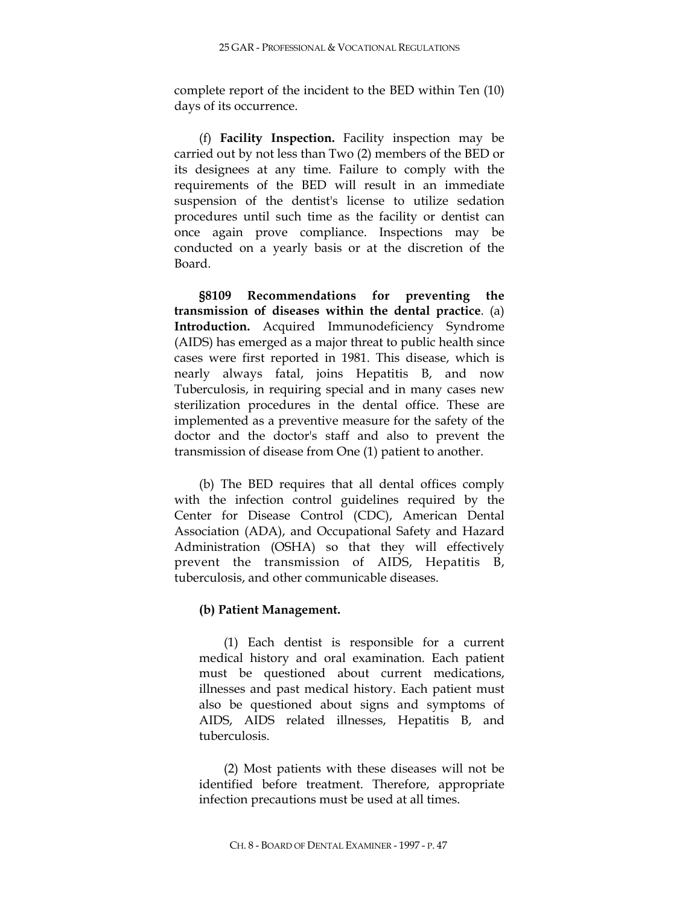complete report of the incident to the BED within Ten (10) days of its occurrence.

(f) **Facility Inspection.** Facility inspection may be carried out by not less than Two (2) members of the BED or its designees at any time. Failure to comply with the requirements of the BED will result in an immediate suspension of the dentist's license to utilize sedation procedures until such time as the facility or dentist can once again prove compliance. Inspections may be conducted on a yearly basis or at the discretion of the Board.

**§8109 Recommendations for preventing the transmission of diseases within the dental practice**. (a) **Introduction.** Acquired Immunodeficiency Syndrome (AIDS) has emerged as a major threat to public health since cases were first reported in 1981. This disease, which is nearly always fatal, joins Hepatitis B, and now Tuberculosis, in requiring special and in many cases new sterilization procedures in the dental office. These are implemented as a preventive measure for the safety of the doctor and the doctor's staff and also to prevent the transmission of disease from One (1) patient to another.

(b) The BED requires that all dental offices comply with the infection control guidelines required by the Center for Disease Control (CDC), American Dental Association (ADA), and Occupational Safety and Hazard Administration (OSHA) so that they will effectively prevent the transmission of AIDS, Hepatitis B, tuberculosis, and other communicable diseases.

# **(b) Patient Management.**

(1) Each dentist is responsible for a current medical history and oral examination. Each patient must be questioned about current medications, illnesses and past medical history. Each patient must also be questioned about signs and symptoms of AIDS, AIDS related illnesses, Hepatitis B, and tuberculosis.

(2) Most patients with these diseases will not be identified before treatment. Therefore, appropriate infection precautions must be used at all times.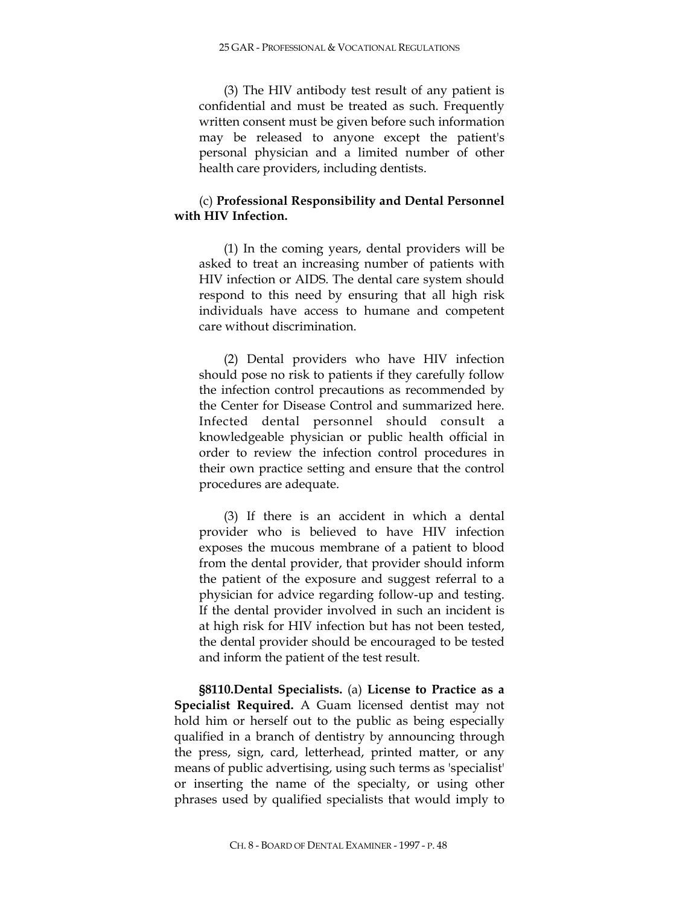(3) The HIV antibody test result of any patient is confidential and must be treated as such. Frequently written consent must be given before such information may be released to anyone except the patient's personal physician and a limited number of other health care providers, including dentists.

# (c) **Professional Responsibility and Dental Personnel with HIV Infection.**

(1) In the coming years, dental providers will be asked to treat an increasing number of patients with HIV infection or AIDS. The dental care system should respond to this need by ensuring that all high risk individuals have access to humane and competent care without discrimination.

(2) Dental providers who have HIV infection should pose no risk to patients if they carefully follow the infection control precautions as recommended by the Center for Disease Control and summarized here. Infected dental personnel should consult a knowledgeable physician or public health official in order to review the infection control procedures in their own practice setting and ensure that the control procedures are adequate.

(3) If there is an accident in which a dental provider who is believed to have HIV infection exposes the mucous membrane of a patient to blood from the dental provider, that provider should inform the patient of the exposure and suggest referral to a physician for advice regarding follow-up and testing. If the dental provider involved in such an incident is at high risk for HIV infection but has not been tested, the dental provider should be encouraged to be tested and inform the patient of the test result.

**§8110.Dental Specialists.** (a) **License to Practice as a Specialist Required.** A Guam licensed dentist may not hold him or herself out to the public as being especially qualified in a branch of dentistry by announcing through the press, sign, card, letterhead, printed matter, or any means of public advertising, using such terms as 'specialist' or inserting the name of the specialty, or using other phrases used by qualified specialists that would imply to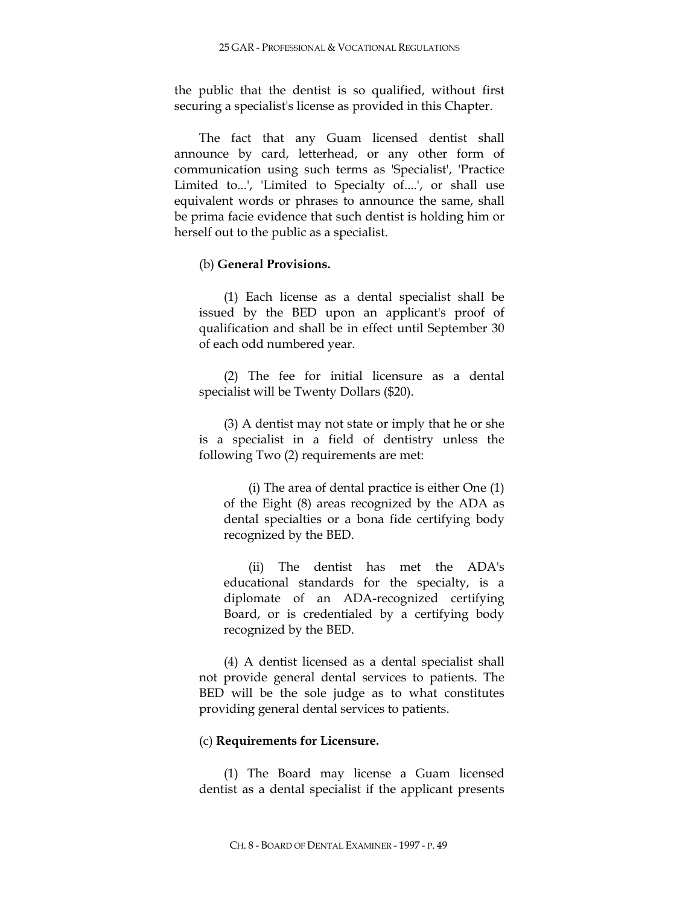the public that the dentist is so qualified, without first securing a specialist's license as provided in this Chapter.

The fact that any Guam licensed dentist shall announce by card, letterhead, or any other form of communication using such terms as 'Specialist', 'Practice Limited to...', 'Limited to Specialty of....', or shall use equivalent words or phrases to announce the same, shall be prima facie evidence that such dentist is holding him or herself out to the public as a specialist.

### (b) **General Provisions.**

(1) Each license as a dental specialist shall be issued by the BED upon an applicant's proof of qualification and shall be in effect until September 30 of each odd numbered year.

(2) The fee for initial licensure as a dental specialist will be Twenty Dollars (\$20).

(3) A dentist may not state or imply that he or she is a specialist in a field of dentistry unless the following Two (2) requirements are met:

(i) The area of dental practice is either One (1) of the Eight (8) areas recognized by the ADA as dental specialties or a bona fide certifying body recognized by the BED.

(ii) The dentist has met the ADA's educational standards for the specialty, is a diplomate of an ADA-recognized certifying Board, or is credentialed by a certifying body recognized by the BED.

(4) A dentist licensed as a dental specialist shall not provide general dental services to patients. The BED will be the sole judge as to what constitutes providing general dental services to patients.

## (c) **Requirements for Licensure.**

(1) The Board may license a Guam licensed dentist as a dental specialist if the applicant presents